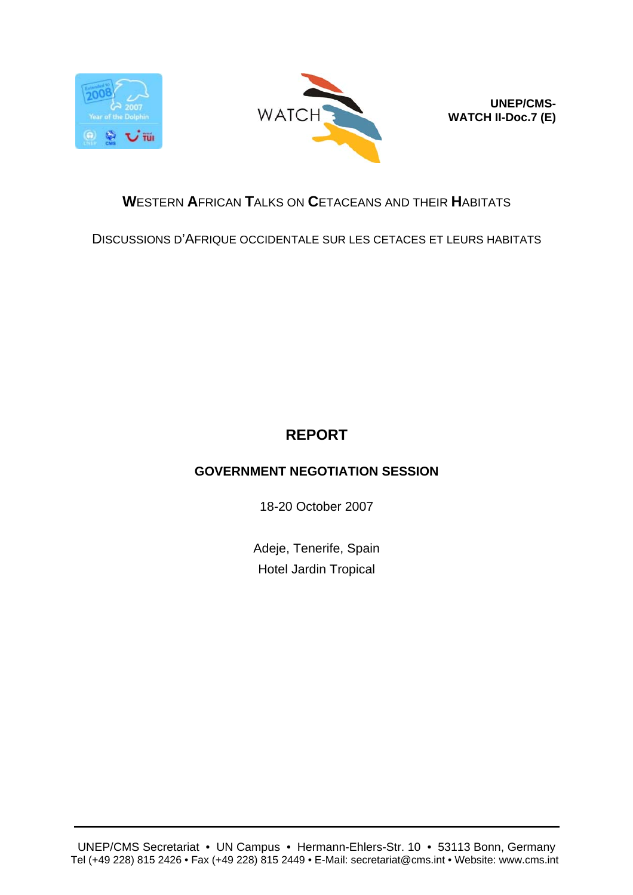



**UNEP/CMS-WATCH II-Doc.7 (E)**

# **W**ESTERN **A**FRICAN **T**ALKS ON **C**ETACEANS AND THEIR **H**ABITATS

DISCUSSIONS D'AFRIQUE OCCIDENTALE SUR LES CETACES ET LEURS HABITATS

# **REPORT**

# **GOVERNMENT NEGOTIATION SESSION**

18-20 October 2007

Adeje, Tenerife, Spain Hotel Jardin Tropical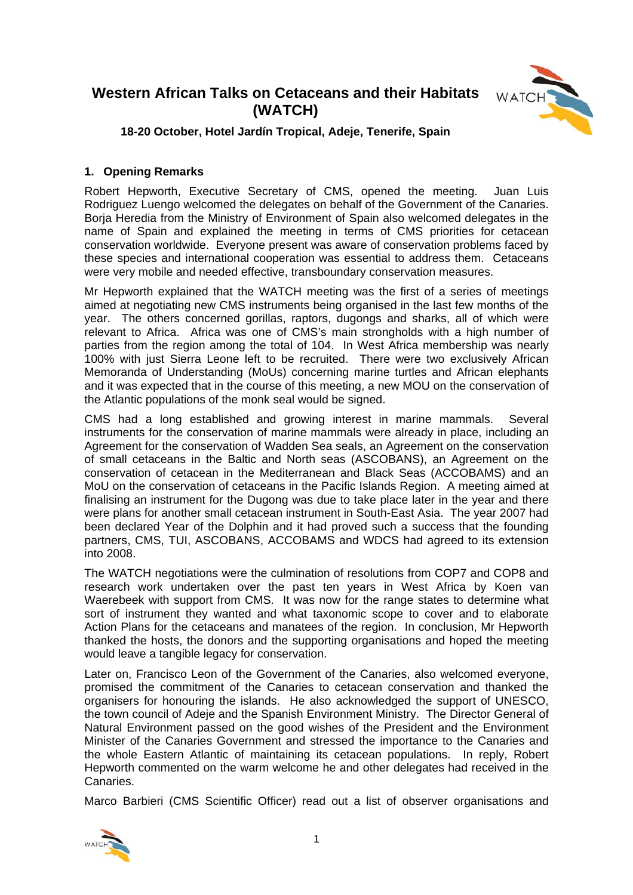# **Western African Talks on Cetaceans and their Habitats (WATCH)**



# **18-20 October, Hotel Jardín Tropical, Adeje, Tenerife, Spain**

# **1. Opening Remarks**

Robert Hepworth, Executive Secretary of CMS, opened the meeting. Juan Luis Rodriguez Luengo welcomed the delegates on behalf of the Government of the Canaries. Borja Heredia from the Ministry of Environment of Spain also welcomed delegates in the name of Spain and explained the meeting in terms of CMS priorities for cetacean conservation worldwide. Everyone present was aware of conservation problems faced by these species and international cooperation was essential to address them. Cetaceans were very mobile and needed effective, transboundary conservation measures.

Mr Hepworth explained that the WATCH meeting was the first of a series of meetings aimed at negotiating new CMS instruments being organised in the last few months of the year. The others concerned gorillas, raptors, dugongs and sharks, all of which were relevant to Africa. Africa was one of CMS's main strongholds with a high number of parties from the region among the total of 104. In West Africa membership was nearly 100% with just Sierra Leone left to be recruited. There were two exclusively African Memoranda of Understanding (MoUs) concerning marine turtles and African elephants and it was expected that in the course of this meeting, a new MOU on the conservation of the Atlantic populations of the monk seal would be signed.

CMS had a long established and growing interest in marine mammals. Several instruments for the conservation of marine mammals were already in place, including an Agreement for the conservation of Wadden Sea seals, an Agreement on the conservation of small cetaceans in the Baltic and North seas (ASCOBANS), an Agreement on the conservation of cetacean in the Mediterranean and Black Seas (ACCOBAMS) and an MoU on the conservation of cetaceans in the Pacific Islands Region. A meeting aimed at finalising an instrument for the Dugong was due to take place later in the year and there were plans for another small cetacean instrument in South-East Asia. The year 2007 had been declared Year of the Dolphin and it had proved such a success that the founding partners, CMS, TUI, ASCOBANS, ACCOBAMS and WDCS had agreed to its extension into 2008.

The WATCH negotiations were the culmination of resolutions from COP7 and COP8 and research work undertaken over the past ten years in West Africa by Koen van Waerebeek with support from CMS. It was now for the range states to determine what sort of instrument they wanted and what taxonomic scope to cover and to elaborate Action Plans for the cetaceans and manatees of the region. In conclusion, Mr Hepworth thanked the hosts, the donors and the supporting organisations and hoped the meeting would leave a tangible legacy for conservation.

Later on, Francisco Leon of the Government of the Canaries, also welcomed everyone, promised the commitment of the Canaries to cetacean conservation and thanked the organisers for honouring the islands. He also acknowledged the support of UNESCO, the town council of Adeje and the Spanish Environment Ministry. The Director General of Natural Environment passed on the good wishes of the President and the Environment Minister of the Canaries Government and stressed the importance to the Canaries and the whole Eastern Atlantic of maintaining its cetacean populations. In reply, Robert Hepworth commented on the warm welcome he and other delegates had received in the Canaries.

Marco Barbieri (CMS Scientific Officer) read out a list of observer organisations and

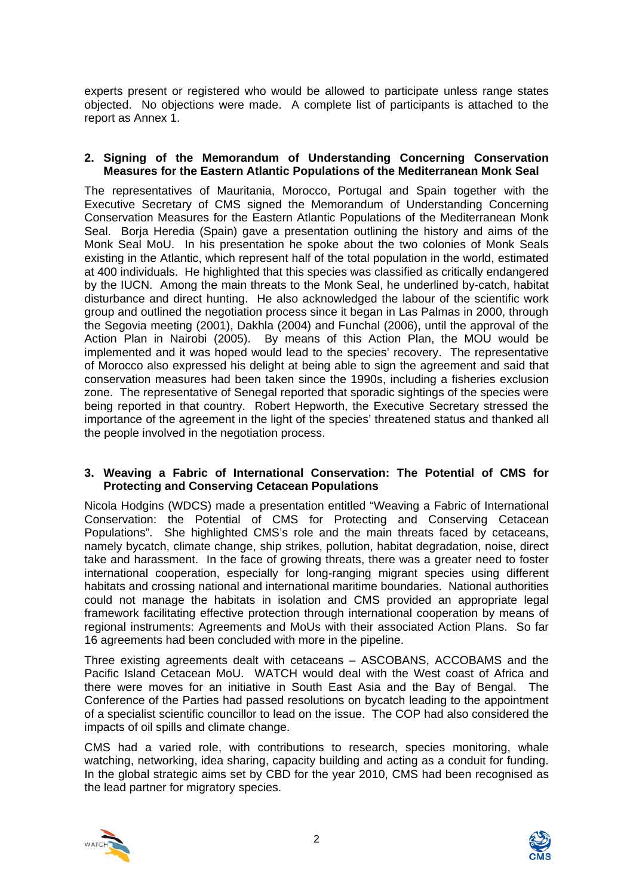experts present or registered who would be allowed to participate unless range states objected. No objections were made. A complete list of participants is attached to the report as Annex 1.

# **2. Signing of the Memorandum of Understanding Concerning Conservation Measures for the Eastern Atlantic Populations of the Mediterranean Monk Seal**

The representatives of Mauritania, Morocco, Portugal and Spain together with the Executive Secretary of CMS signed the Memorandum of Understanding Concerning Conservation Measures for the Eastern Atlantic Populations of the Mediterranean Monk Seal. Boria Heredia (Spain) gave a presentation outlining the history and aims of the Monk Seal MoU. In his presentation he spoke about the two colonies of Monk Seals existing in the Atlantic, which represent half of the total population in the world, estimated at 400 individuals. He highlighted that this species was classified as critically endangered by the IUCN. Among the main threats to the Monk Seal, he underlined by-catch, habitat disturbance and direct hunting. He also acknowledged the labour of the scientific work group and outlined the negotiation process since it began in Las Palmas in 2000, through the Segovia meeting (2001), Dakhla (2004) and Funchal (2006), until the approval of the Action Plan in Nairobi (2005). By means of this Action Plan, the MOU would be implemented and it was hoped would lead to the species' recovery. The representative of Morocco also expressed his delight at being able to sign the agreement and said that conservation measures had been taken since the 1990s, including a fisheries exclusion zone. The representative of Senegal reported that sporadic sightings of the species were being reported in that country. Robert Hepworth, the Executive Secretary stressed the importance of the agreement in the light of the species' threatened status and thanked all the people involved in the negotiation process.

# **3. Weaving a Fabric of International Conservation: The Potential of CMS for Protecting and Conserving Cetacean Populations**

Nicola Hodgins (WDCS) made a presentation entitled "Weaving a Fabric of International Conservation: the Potential of CMS for Protecting and Conserving Cetacean Populations". She highlighted CMS's role and the main threats faced by cetaceans, namely bycatch, climate change, ship strikes, pollution, habitat degradation, noise, direct take and harassment. In the face of growing threats, there was a greater need to foster international cooperation, especially for long-ranging migrant species using different habitats and crossing national and international maritime boundaries. National authorities could not manage the habitats in isolation and CMS provided an appropriate legal framework facilitating effective protection through international cooperation by means of regional instruments: Agreements and MoUs with their associated Action Plans. So far 16 agreements had been concluded with more in the pipeline.

Three existing agreements dealt with cetaceans – ASCOBANS, ACCOBAMS and the Pacific Island Cetacean MoU. WATCH would deal with the West coast of Africa and there were moves for an initiative in South East Asia and the Bay of Bengal. The Conference of the Parties had passed resolutions on bycatch leading to the appointment of a specialist scientific councillor to lead on the issue. The COP had also considered the impacts of oil spills and climate change.

CMS had a varied role, with contributions to research, species monitoring, whale watching, networking, idea sharing, capacity building and acting as a conduit for funding. In the global strategic aims set by CBD for the year 2010, CMS had been recognised as the lead partner for migratory species.



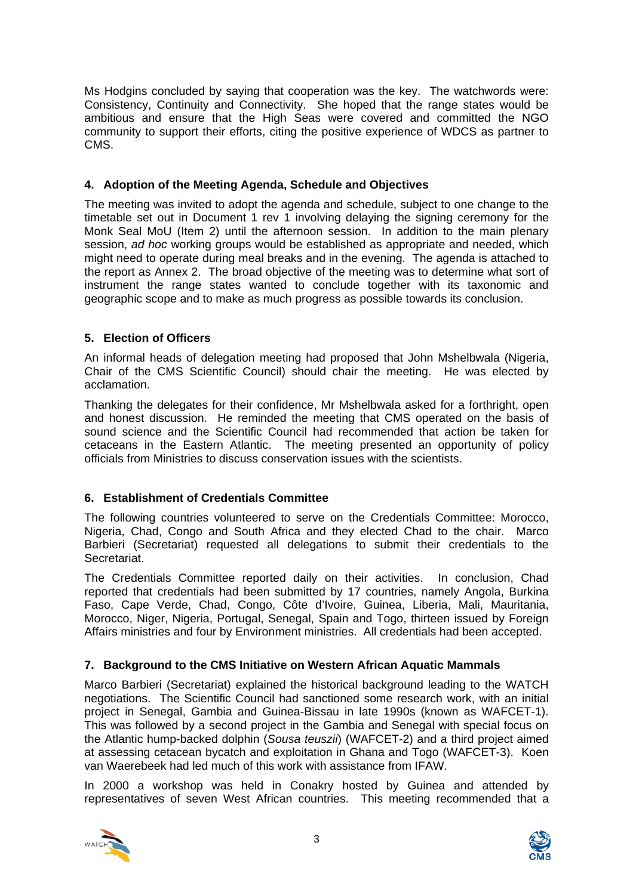Ms Hodgins concluded by saying that cooperation was the key. The watchwords were: Consistency, Continuity and Connectivity. She hoped that the range states would be ambitious and ensure that the High Seas were covered and committed the NGO community to support their efforts, citing the positive experience of WDCS as partner to CMS.

# **4. Adoption of the Meeting Agenda, Schedule and Objectives**

The meeting was invited to adopt the agenda and schedule, subject to one change to the timetable set out in Document 1 rev 1 involving delaying the signing ceremony for the Monk Seal MoU (Item 2) until the afternoon session. In addition to the main plenary session, *ad hoc* working groups would be established as appropriate and needed, which might need to operate during meal breaks and in the evening. The agenda is attached to the report as Annex 2. The broad objective of the meeting was to determine what sort of instrument the range states wanted to conclude together with its taxonomic and geographic scope and to make as much progress as possible towards its conclusion.

# **5. Election of Officers**

An informal heads of delegation meeting had proposed that John Mshelbwala (Nigeria, Chair of the CMS Scientific Council) should chair the meeting. He was elected by acclamation.

Thanking the delegates for their confidence, Mr Mshelbwala asked for a forthright, open and honest discussion. He reminded the meeting that CMS operated on the basis of sound science and the Scientific Council had recommended that action be taken for cetaceans in the Eastern Atlantic. The meeting presented an opportunity of policy officials from Ministries to discuss conservation issues with the scientists.

# **6. Establishment of Credentials Committee**

The following countries volunteered to serve on the Credentials Committee: Morocco, Nigeria, Chad, Congo and South Africa and they elected Chad to the chair. Marco Barbieri (Secretariat) requested all delegations to submit their credentials to the Secretariat.

The Credentials Committee reported daily on their activities. In conclusion, Chad reported that credentials had been submitted by 17 countries, namely Angola, Burkina Faso, Cape Verde, Chad, Congo, Côte d'Ivoire, Guinea, Liberia, Mali, Mauritania, Morocco, Niger, Nigeria, Portugal, Senegal, Spain and Togo, thirteen issued by Foreign Affairs ministries and four by Environment ministries. All credentials had been accepted.

# **7. Background to the CMS Initiative on Western African Aquatic Mammals**

Marco Barbieri (Secretariat) explained the historical background leading to the WATCH negotiations. The Scientific Council had sanctioned some research work, with an initial project in Senegal, Gambia and Guinea-Bissau in late 1990s (known as WAFCET-1). This was followed by a second project in the Gambia and Senegal with special focus on the Atlantic hump-backed dolphin (*Sousa teuszii*) (WAFCET-2) and a third project aimed at assessing cetacean bycatch and exploitation in Ghana and Togo (WAFCET-3). Koen van Waerebeek had led much of this work with assistance from IFAW.

In 2000 a workshop was held in Conakry hosted by Guinea and attended by representatives of seven West African countries. This meeting recommended that a



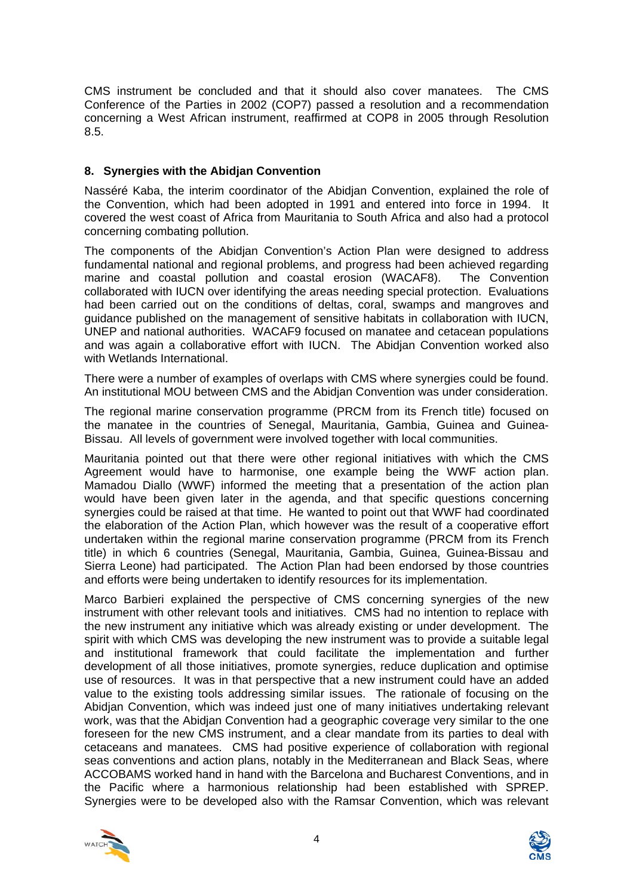CMS instrument be concluded and that it should also cover manatees. The CMS Conference of the Parties in 2002 (COP7) passed a resolution and a recommendation concerning a West African instrument, reaffirmed at COP8 in 2005 through Resolution 8.5.

# **8. Synergies with the Abidjan Convention**

Nasséré Kaba, the interim coordinator of the Abidjan Convention, explained the role of the Convention, which had been adopted in 1991 and entered into force in 1994. It covered the west coast of Africa from Mauritania to South Africa and also had a protocol concerning combating pollution.

The components of the Abidjan Convention's Action Plan were designed to address fundamental national and regional problems, and progress had been achieved regarding marine and coastal pollution and coastal erosion (WACAF8). The Convention collaborated with IUCN over identifying the areas needing special protection. Evaluations had been carried out on the conditions of deltas, coral, swamps and mangroves and guidance published on the management of sensitive habitats in collaboration with IUCN, UNEP and national authorities. WACAF9 focused on manatee and cetacean populations and was again a collaborative effort with IUCN. The Abidjan Convention worked also with Wetlands International.

There were a number of examples of overlaps with CMS where synergies could be found. An institutional MOU between CMS and the Abidjan Convention was under consideration.

The regional marine conservation programme (PRCM from its French title) focused on the manatee in the countries of Senegal, Mauritania, Gambia, Guinea and Guinea-Bissau. All levels of government were involved together with local communities.

Mauritania pointed out that there were other regional initiatives with which the CMS Agreement would have to harmonise, one example being the WWF action plan. Mamadou Diallo (WWF) informed the meeting that a presentation of the action plan would have been given later in the agenda, and that specific questions concerning synergies could be raised at that time. He wanted to point out that WWF had coordinated the elaboration of the Action Plan, which however was the result of a cooperative effort undertaken within the regional marine conservation programme (PRCM from its French title) in which 6 countries (Senegal, Mauritania, Gambia, Guinea, Guinea-Bissau and Sierra Leone) had participated. The Action Plan had been endorsed by those countries and efforts were being undertaken to identify resources for its implementation.

Marco Barbieri explained the perspective of CMS concerning synergies of the new instrument with other relevant tools and initiatives. CMS had no intention to replace with the new instrument any initiative which was already existing or under development. The spirit with which CMS was developing the new instrument was to provide a suitable legal and institutional framework that could facilitate the implementation and further development of all those initiatives, promote synergies, reduce duplication and optimise use of resources. It was in that perspective that a new instrument could have an added value to the existing tools addressing similar issues. The rationale of focusing on the Abidjan Convention, which was indeed just one of many initiatives undertaking relevant work, was that the Abidjan Convention had a geographic coverage very similar to the one foreseen for the new CMS instrument, and a clear mandate from its parties to deal with cetaceans and manatees. CMS had positive experience of collaboration with regional seas conventions and action plans, notably in the Mediterranean and Black Seas, where ACCOBAMS worked hand in hand with the Barcelona and Bucharest Conventions, and in the Pacific where a harmonious relationship had been established with SPREP. Synergies were to be developed also with the Ramsar Convention, which was relevant



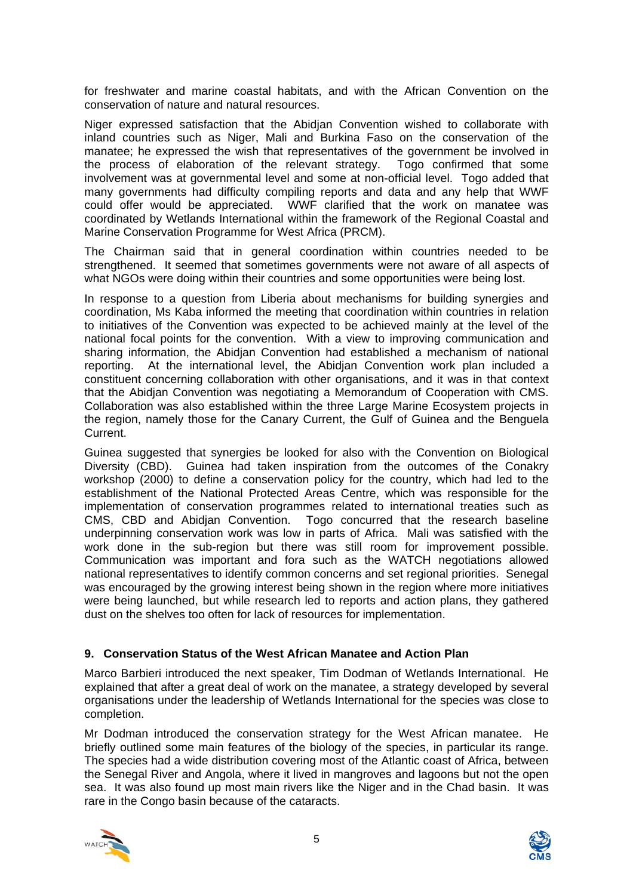for freshwater and marine coastal habitats, and with the African Convention on the conservation of nature and natural resources.

Niger expressed satisfaction that the Abidjan Convention wished to collaborate with inland countries such as Niger, Mali and Burkina Faso on the conservation of the manatee; he expressed the wish that representatives of the government be involved in the process of elaboration of the relevant strategy. Togo confirmed that some involvement was at governmental level and some at non-official level. Togo added that many governments had difficulty compiling reports and data and any help that WWF could offer would be appreciated. WWF clarified that the work on manatee was coordinated by Wetlands International within the framework of the Regional Coastal and Marine Conservation Programme for West Africa (PRCM).

The Chairman said that in general coordination within countries needed to be strengthened. It seemed that sometimes governments were not aware of all aspects of what NGOs were doing within their countries and some opportunities were being lost.

In response to a question from Liberia about mechanisms for building synergies and coordination, Ms Kaba informed the meeting that coordination within countries in relation to initiatives of the Convention was expected to be achieved mainly at the level of the national focal points for the convention. With a view to improving communication and sharing information, the Abidjan Convention had established a mechanism of national reporting. At the international level, the Abidjan Convention work plan included a constituent concerning collaboration with other organisations, and it was in that context that the Abidjan Convention was negotiating a Memorandum of Cooperation with CMS. Collaboration was also established within the three Large Marine Ecosystem projects in the region, namely those for the Canary Current, the Gulf of Guinea and the Benguela Current.

Guinea suggested that synergies be looked for also with the Convention on Biological Diversity (CBD). Guinea had taken inspiration from the outcomes of the Conakry workshop (2000) to define a conservation policy for the country, which had led to the establishment of the National Protected Areas Centre, which was responsible for the implementation of conservation programmes related to international treaties such as CMS, CBD and Abidjan Convention. Togo concurred that the research baseline underpinning conservation work was low in parts of Africa. Mali was satisfied with the work done in the sub-region but there was still room for improvement possible. Communication was important and fora such as the WATCH negotiations allowed national representatives to identify common concerns and set regional priorities. Senegal was encouraged by the growing interest being shown in the region where more initiatives were being launched, but while research led to reports and action plans, they gathered dust on the shelves too often for lack of resources for implementation.

# **9. Conservation Status of the West African Manatee and Action Plan**

Marco Barbieri introduced the next speaker, Tim Dodman of Wetlands International. He explained that after a great deal of work on the manatee, a strategy developed by several organisations under the leadership of Wetlands International for the species was close to completion.

Mr Dodman introduced the conservation strategy for the West African manatee. He briefly outlined some main features of the biology of the species, in particular its range. The species had a wide distribution covering most of the Atlantic coast of Africa, between the Senegal River and Angola, where it lived in mangroves and lagoons but not the open sea. It was also found up most main rivers like the Niger and in the Chad basin. It was rare in the Congo basin because of the cataracts.



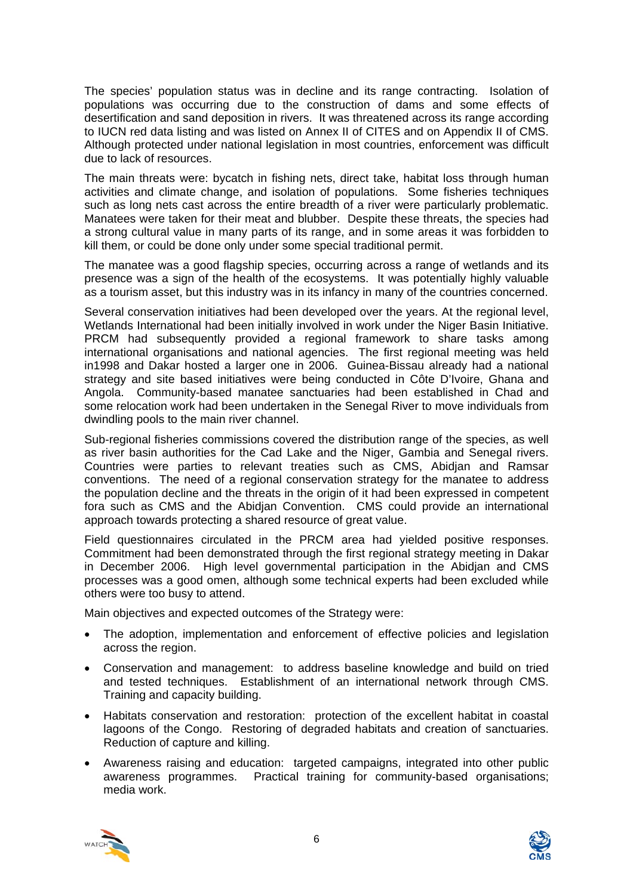The species' population status was in decline and its range contracting. Isolation of populations was occurring due to the construction of dams and some effects of desertification and sand deposition in rivers. It was threatened across its range according to IUCN red data listing and was listed on Annex II of CITES and on Appendix II of CMS. Although protected under national legislation in most countries, enforcement was difficult due to lack of resources.

The main threats were: bycatch in fishing nets, direct take, habitat loss through human activities and climate change, and isolation of populations. Some fisheries techniques such as long nets cast across the entire breadth of a river were particularly problematic. Manatees were taken for their meat and blubber. Despite these threats, the species had a strong cultural value in many parts of its range, and in some areas it was forbidden to kill them, or could be done only under some special traditional permit.

The manatee was a good flagship species, occurring across a range of wetlands and its presence was a sign of the health of the ecosystems. It was potentially highly valuable as a tourism asset, but this industry was in its infancy in many of the countries concerned.

Several conservation initiatives had been developed over the years. At the regional level, Wetlands International had been initially involved in work under the Niger Basin Initiative. PRCM had subsequently provided a regional framework to share tasks among international organisations and national agencies. The first regional meeting was held in1998 and Dakar hosted a larger one in 2006. Guinea-Bissau already had a national strategy and site based initiatives were being conducted in Côte D'Ivoire, Ghana and Angola. Community-based manatee sanctuaries had been established in Chad and some relocation work had been undertaken in the Senegal River to move individuals from dwindling pools to the main river channel.

Sub-regional fisheries commissions covered the distribution range of the species, as well as river basin authorities for the Cad Lake and the Niger, Gambia and Senegal rivers. Countries were parties to relevant treaties such as CMS, Abidjan and Ramsar conventions. The need of a regional conservation strategy for the manatee to address the population decline and the threats in the origin of it had been expressed in competent fora such as CMS and the Abidjan Convention. CMS could provide an international approach towards protecting a shared resource of great value.

Field questionnaires circulated in the PRCM area had yielded positive responses. Commitment had been demonstrated through the first regional strategy meeting in Dakar in December 2006. High level governmental participation in the Abidjan and CMS processes was a good omen, although some technical experts had been excluded while others were too busy to attend.

Main objectives and expected outcomes of the Strategy were:

- The adoption, implementation and enforcement of effective policies and legislation across the region.
- Conservation and management: to address baseline knowledge and build on tried and tested techniques. Establishment of an international network through CMS. Training and capacity building.
- Habitats conservation and restoration: protection of the excellent habitat in coastal lagoons of the Congo. Restoring of degraded habitats and creation of sanctuaries. Reduction of capture and killing.
- Awareness raising and education: targeted campaigns, integrated into other public awareness programmes. Practical training for community-based organisations; media work.



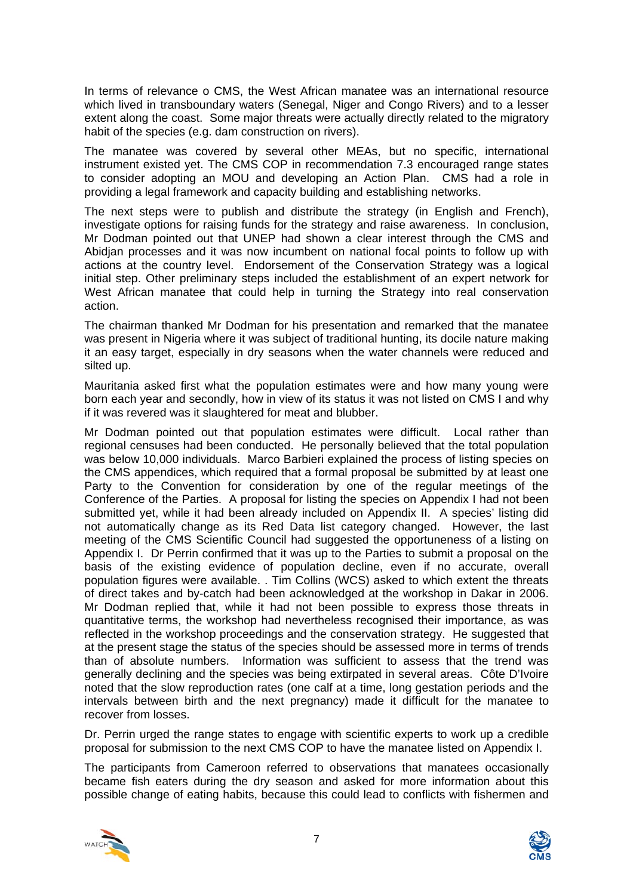In terms of relevance o CMS, the West African manatee was an international resource which lived in transboundary waters (Senegal, Niger and Congo Rivers) and to a lesser extent along the coast. Some major threats were actually directly related to the migratory habit of the species (e.g. dam construction on rivers).

The manatee was covered by several other MEAs, but no specific, international instrument existed yet. The CMS COP in recommendation 7.3 encouraged range states to consider adopting an MOU and developing an Action Plan. CMS had a role in providing a legal framework and capacity building and establishing networks.

The next steps were to publish and distribute the strategy (in English and French), investigate options for raising funds for the strategy and raise awareness. In conclusion, Mr Dodman pointed out that UNEP had shown a clear interest through the CMS and Abidjan processes and it was now incumbent on national focal points to follow up with actions at the country level. Endorsement of the Conservation Strategy was a logical initial step. Other preliminary steps included the establishment of an expert network for West African manatee that could help in turning the Strategy into real conservation action.

The chairman thanked Mr Dodman for his presentation and remarked that the manatee was present in Nigeria where it was subject of traditional hunting, its docile nature making it an easy target, especially in dry seasons when the water channels were reduced and silted up.

Mauritania asked first what the population estimates were and how many young were born each year and secondly, how in view of its status it was not listed on CMS I and why if it was revered was it slaughtered for meat and blubber.

Mr Dodman pointed out that population estimates were difficult. Local rather than regional censuses had been conducted. He personally believed that the total population was below 10,000 individuals. Marco Barbieri explained the process of listing species on the CMS appendices, which required that a formal proposal be submitted by at least one Party to the Convention for consideration by one of the regular meetings of the Conference of the Parties. A proposal for listing the species on Appendix I had not been submitted yet, while it had been already included on Appendix II. A species' listing did not automatically change as its Red Data list category changed. However, the last meeting of the CMS Scientific Council had suggested the opportuneness of a listing on Appendix I. Dr Perrin confirmed that it was up to the Parties to submit a proposal on the basis of the existing evidence of population decline, even if no accurate, overall population figures were available. . Tim Collins (WCS) asked to which extent the threats of direct takes and by-catch had been acknowledged at the workshop in Dakar in 2006. Mr Dodman replied that, while it had not been possible to express those threats in quantitative terms, the workshop had nevertheless recognised their importance, as was reflected in the workshop proceedings and the conservation strategy. He suggested that at the present stage the status of the species should be assessed more in terms of trends than of absolute numbers. Information was sufficient to assess that the trend was generally declining and the species was being extirpated in several areas. Côte D'Ivoire noted that the slow reproduction rates (one calf at a time, long gestation periods and the intervals between birth and the next pregnancy) made it difficult for the manatee to recover from losses.

Dr. Perrin urged the range states to engage with scientific experts to work up a credible proposal for submission to the next CMS COP to have the manatee listed on Appendix I.

The participants from Cameroon referred to observations that manatees occasionally became fish eaters during the dry season and asked for more information about this possible change of eating habits, because this could lead to conflicts with fishermen and



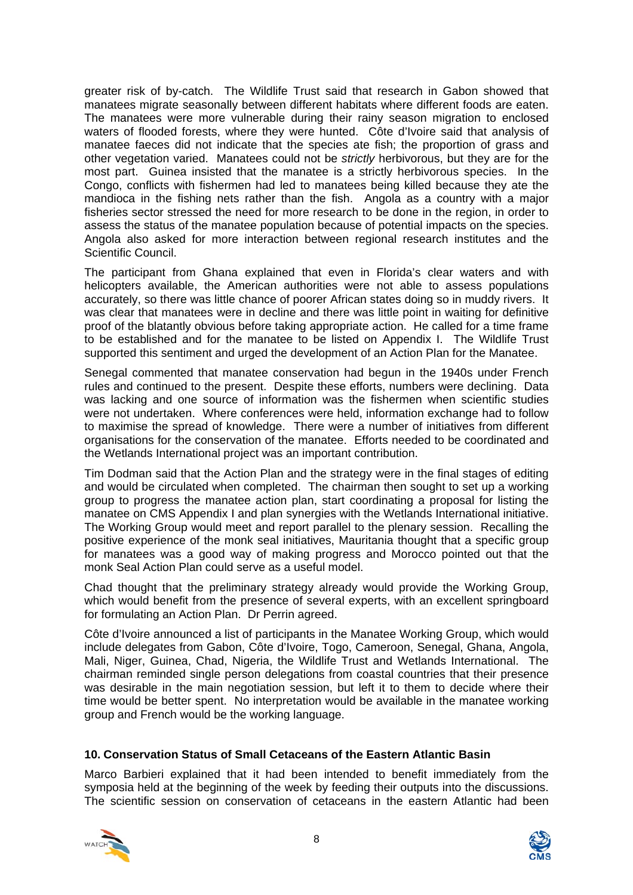greater risk of by-catch. The Wildlife Trust said that research in Gabon showed that manatees migrate seasonally between different habitats where different foods are eaten. The manatees were more vulnerable during their rainy season migration to enclosed waters of flooded forests, where they were hunted. Côte d'Ivoire said that analysis of manatee faeces did not indicate that the species ate fish; the proportion of grass and other vegetation varied. Manatees could not be *strictly* herbivorous, but they are for the most part. Guinea insisted that the manatee is a strictly herbivorous species. In the Congo, conflicts with fishermen had led to manatees being killed because they ate the mandioca in the fishing nets rather than the fish. Angola as a country with a major fisheries sector stressed the need for more research to be done in the region, in order to assess the status of the manatee population because of potential impacts on the species. Angola also asked for more interaction between regional research institutes and the Scientific Council.

The participant from Ghana explained that even in Florida's clear waters and with helicopters available, the American authorities were not able to assess populations accurately, so there was little chance of poorer African states doing so in muddy rivers. It was clear that manatees were in decline and there was little point in waiting for definitive proof of the blatantly obvious before taking appropriate action. He called for a time frame to be established and for the manatee to be listed on Appendix I. The Wildlife Trust supported this sentiment and urged the development of an Action Plan for the Manatee.

Senegal commented that manatee conservation had begun in the 1940s under French rules and continued to the present. Despite these efforts, numbers were declining. Data was lacking and one source of information was the fishermen when scientific studies were not undertaken. Where conferences were held, information exchange had to follow to maximise the spread of knowledge. There were a number of initiatives from different organisations for the conservation of the manatee. Efforts needed to be coordinated and the Wetlands International project was an important contribution.

Tim Dodman said that the Action Plan and the strategy were in the final stages of editing and would be circulated when completed. The chairman then sought to set up a working group to progress the manatee action plan, start coordinating a proposal for listing the manatee on CMS Appendix I and plan synergies with the Wetlands International initiative. The Working Group would meet and report parallel to the plenary session. Recalling the positive experience of the monk seal initiatives, Mauritania thought that a specific group for manatees was a good way of making progress and Morocco pointed out that the monk Seal Action Plan could serve as a useful model.

Chad thought that the preliminary strategy already would provide the Working Group, which would benefit from the presence of several experts, with an excellent springboard for formulating an Action Plan. Dr Perrin agreed.

Côte d'Ivoire announced a list of participants in the Manatee Working Group, which would include delegates from Gabon, Côte d'Ivoire, Togo, Cameroon, Senegal, Ghana, Angola, Mali, Niger, Guinea, Chad, Nigeria, the Wildlife Trust and Wetlands International. The chairman reminded single person delegations from coastal countries that their presence was desirable in the main negotiation session, but left it to them to decide where their time would be better spent. No interpretation would be available in the manatee working group and French would be the working language.

# **10. Conservation Status of Small Cetaceans of the Eastern Atlantic Basin**

Marco Barbieri explained that it had been intended to benefit immediately from the symposia held at the beginning of the week by feeding their outputs into the discussions. The scientific session on conservation of cetaceans in the eastern Atlantic had been



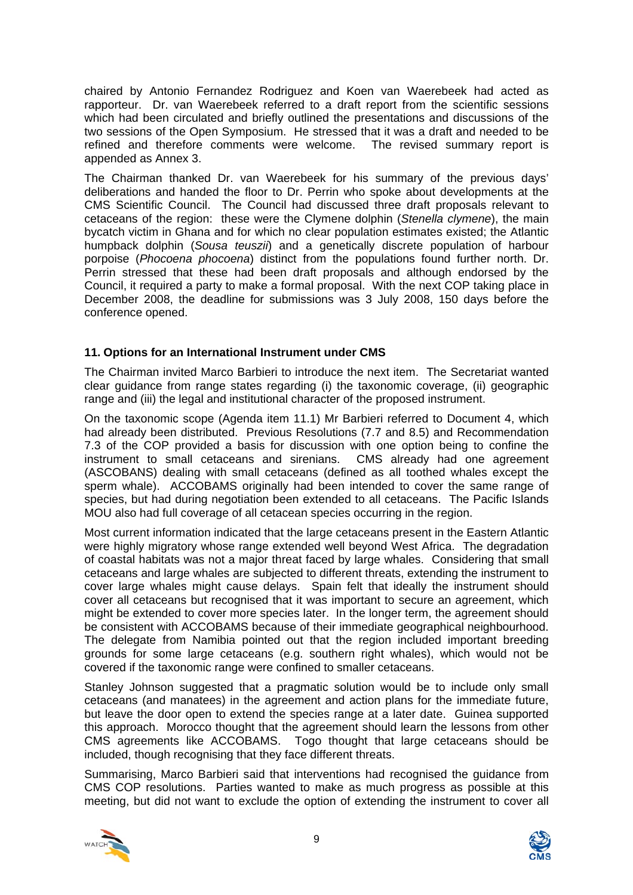chaired by Antonio Fernandez Rodriguez and Koen van Waerebeek had acted as rapporteur. Dr. van Waerebeek referred to a draft report from the scientific sessions which had been circulated and briefly outlined the presentations and discussions of the two sessions of the Open Symposium. He stressed that it was a draft and needed to be refined and therefore comments were welcome. The revised summary report is appended as Annex 3.

The Chairman thanked Dr. van Waerebeek for his summary of the previous days' deliberations and handed the floor to Dr. Perrin who spoke about developments at the CMS Scientific Council. The Council had discussed three draft proposals relevant to cetaceans of the region: these were the Clymene dolphin (*Stenella clymene*), the main bycatch victim in Ghana and for which no clear population estimates existed; the Atlantic humpback dolphin (*Sousa teuszii*) and a genetically discrete population of harbour porpoise (*Phocoena phocoena*) distinct from the populations found further north. Dr. Perrin stressed that these had been draft proposals and although endorsed by the Council, it required a party to make a formal proposal. With the next COP taking place in December 2008, the deadline for submissions was 3 July 2008, 150 days before the conference opened.

# **11. Options for an International Instrument under CMS**

The Chairman invited Marco Barbieri to introduce the next item. The Secretariat wanted clear guidance from range states regarding (i) the taxonomic coverage, (ii) geographic range and (iii) the legal and institutional character of the proposed instrument.

On the taxonomic scope (Agenda item 11.1) Mr Barbieri referred to Document 4, which had already been distributed. Previous Resolutions (7.7 and 8.5) and Recommendation 7.3 of the COP provided a basis for discussion with one option being to confine the instrument to small cetaceans and sirenians. CMS already had one agreement (ASCOBANS) dealing with small cetaceans (defined as all toothed whales except the sperm whale). ACCOBAMS originally had been intended to cover the same range of species, but had during negotiation been extended to all cetaceans. The Pacific Islands MOU also had full coverage of all cetacean species occurring in the region.

Most current information indicated that the large cetaceans present in the Eastern Atlantic were highly migratory whose range extended well beyond West Africa. The degradation of coastal habitats was not a major threat faced by large whales. Considering that small cetaceans and large whales are subjected to different threats, extending the instrument to cover large whales might cause delays. Spain felt that ideally the instrument should cover all cetaceans but recognised that it was important to secure an agreement, which might be extended to cover more species later. In the longer term, the agreement should be consistent with ACCOBAMS because of their immediate geographical neighbourhood. The delegate from Namibia pointed out that the region included important breeding grounds for some large cetaceans (e.g. southern right whales), which would not be covered if the taxonomic range were confined to smaller cetaceans.

Stanley Johnson suggested that a pragmatic solution would be to include only small cetaceans (and manatees) in the agreement and action plans for the immediate future, but leave the door open to extend the species range at a later date. Guinea supported this approach. Morocco thought that the agreement should learn the lessons from other CMS agreements like ACCOBAMS. Togo thought that large cetaceans should be included, though recognising that they face different threats.

Summarising, Marco Barbieri said that interventions had recognised the guidance from CMS COP resolutions. Parties wanted to make as much progress as possible at this meeting, but did not want to exclude the option of extending the instrument to cover all



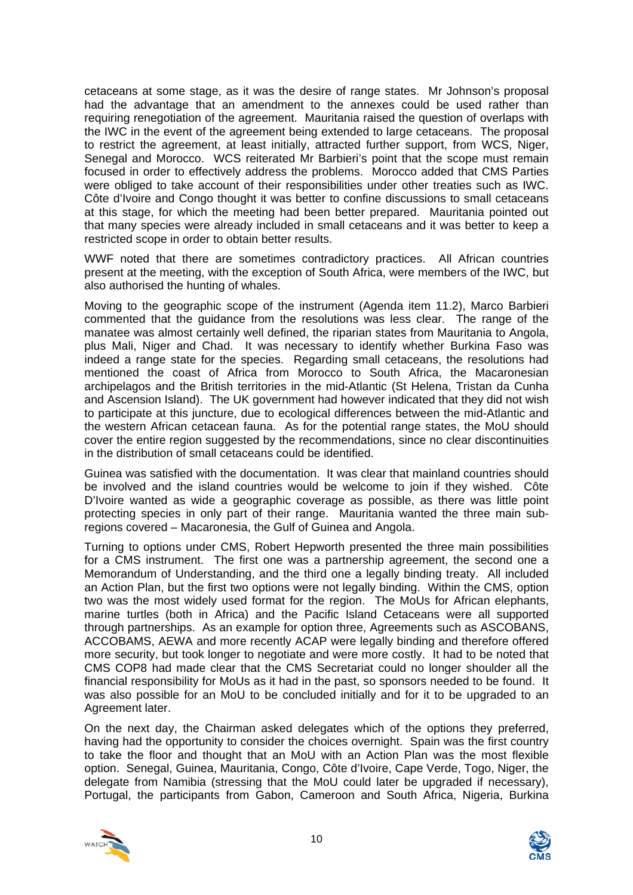cetaceans at some stage, as it was the desire of range states. Mr Johnson's proposal had the advantage that an amendment to the annexes could be used rather than requiring renegotiation of the agreement. Mauritania raised the question of overlaps with the IWC in the event of the agreement being extended to large cetaceans. The proposal to restrict the agreement, at least initially, attracted further support, from WCS, Niger, Senegal and Morocco. WCS reiterated Mr Barbieri's point that the scope must remain focused in order to effectively address the problems. Morocco added that CMS Parties were obliged to take account of their responsibilities under other treaties such as IWC. Côte d'Ivoire and Congo thought it was better to confine discussions to small cetaceans at this stage, for which the meeting had been better prepared. Mauritania pointed out that many species were already included in small cetaceans and it was better to keep a restricted scope in order to obtain better results.

WWF noted that there are sometimes contradictory practices. All African countries present at the meeting, with the exception of South Africa, were members of the IWC, but also authorised the hunting of whales.

Moving to the geographic scope of the instrument (Agenda item 11.2), Marco Barbieri commented that the guidance from the resolutions was less clear. The range of the manatee was almost certainly well defined, the riparian states from Mauritania to Angola, plus Mali, Niger and Chad. It was necessary to identify whether Burkina Faso was indeed a range state for the species. Regarding small cetaceans, the resolutions had mentioned the coast of Africa from Morocco to South Africa, the Macaronesian archipelagos and the British territories in the mid-Atlantic (St Helena, Tristan da Cunha and Ascension Island). The UK government had however indicated that they did not wish to participate at this juncture, due to ecological differences between the mid-Atlantic and the western African cetacean fauna. As for the potential range states, the MoU should cover the entire region suggested by the recommendations, since no clear discontinuities in the distribution of small cetaceans could be identified.

Guinea was satisfied with the documentation. It was clear that mainland countries should be involved and the island countries would be welcome to join if they wished. Côte D'Ivoire wanted as wide a geographic coverage as possible, as there was little point protecting species in only part of their range. Mauritania wanted the three main subregions covered – Macaronesia, the Gulf of Guinea and Angola.

Turning to options under CMS, Robert Hepworth presented the three main possibilities for a CMS instrument. The first one was a partnership agreement, the second one a Memorandum of Understanding, and the third one a legally binding treaty. All included an Action Plan, but the first two options were not legally binding. Within the CMS, option two was the most widely used format for the region. The MoUs for African elephants, marine turtles (both in Africa) and the Pacific Island Cetaceans were all supported through partnerships. As an example for option three, Agreements such as ASCOBANS, ACCOBAMS, AEWA and more recently ACAP were legally binding and therefore offered more security, but took longer to negotiate and were more costly. It had to be noted that CMS COP8 had made clear that the CMS Secretariat could no longer shoulder all the financial responsibility for MoUs as it had in the past, so sponsors needed to be found. It was also possible for an MoU to be concluded initially and for it to be upgraded to an Agreement later.

On the next day, the Chairman asked delegates which of the options they preferred, having had the opportunity to consider the choices overnight. Spain was the first country to take the floor and thought that an MoU with an Action Plan was the most flexible option. Senegal, Guinea, Mauritania, Congo, Côte d'Ivoire, Cape Verde, Togo, Niger, the delegate from Namibia (stressing that the MoU could later be upgraded if necessary), Portugal, the participants from Gabon, Cameroon and South Africa, Nigeria, Burkina



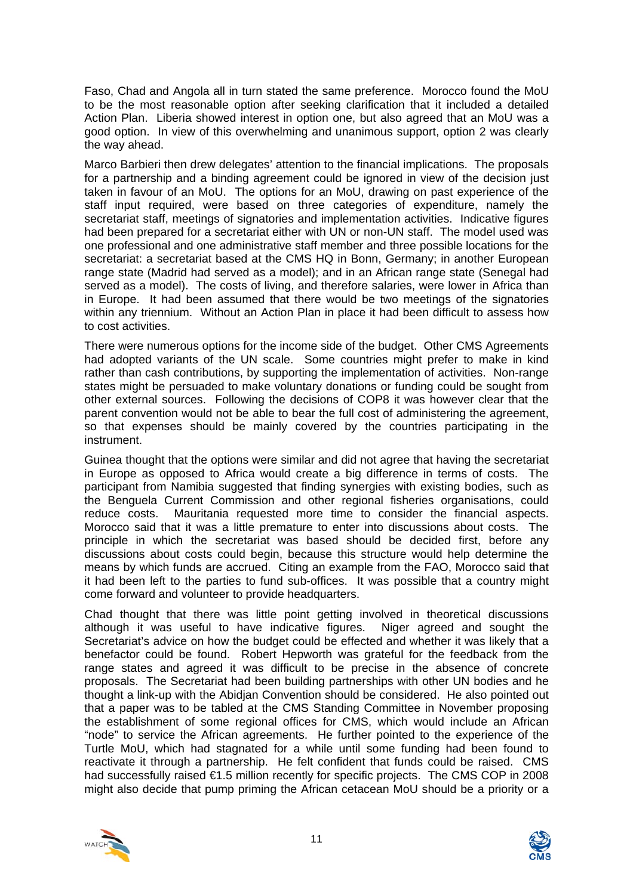Faso, Chad and Angola all in turn stated the same preference. Morocco found the MoU to be the most reasonable option after seeking clarification that it included a detailed Action Plan. Liberia showed interest in option one, but also agreed that an MoU was a good option. In view of this overwhelming and unanimous support, option 2 was clearly the way ahead.

Marco Barbieri then drew delegates' attention to the financial implications. The proposals for a partnership and a binding agreement could be ignored in view of the decision just taken in favour of an MoU. The options for an MoU, drawing on past experience of the staff input required, were based on three categories of expenditure, namely the secretariat staff, meetings of signatories and implementation activities. Indicative figures had been prepared for a secretariat either with UN or non-UN staff. The model used was one professional and one administrative staff member and three possible locations for the secretariat: a secretariat based at the CMS HQ in Bonn, Germany; in another European range state (Madrid had served as a model); and in an African range state (Senegal had served as a model). The costs of living, and therefore salaries, were lower in Africa than in Europe. It had been assumed that there would be two meetings of the signatories within any triennium. Without an Action Plan in place it had been difficult to assess how to cost activities.

There were numerous options for the income side of the budget. Other CMS Agreements had adopted variants of the UN scale. Some countries might prefer to make in kind rather than cash contributions, by supporting the implementation of activities. Non-range states might be persuaded to make voluntary donations or funding could be sought from other external sources. Following the decisions of COP8 it was however clear that the parent convention would not be able to bear the full cost of administering the agreement, so that expenses should be mainly covered by the countries participating in the instrument.

Guinea thought that the options were similar and did not agree that having the secretariat in Europe as opposed to Africa would create a big difference in terms of costs. The participant from Namibia suggested that finding synergies with existing bodies, such as the Benguela Current Commission and other regional fisheries organisations, could reduce costs. Mauritania requested more time to consider the financial aspects. Morocco said that it was a little premature to enter into discussions about costs. The principle in which the secretariat was based should be decided first, before any discussions about costs could begin, because this structure would help determine the means by which funds are accrued. Citing an example from the FAO, Morocco said that it had been left to the parties to fund sub-offices. It was possible that a country might come forward and volunteer to provide headquarters.

Chad thought that there was little point getting involved in theoretical discussions although it was useful to have indicative figures. Niger agreed and sought the Secretariat's advice on how the budget could be effected and whether it was likely that a benefactor could be found. Robert Hepworth was grateful for the feedback from the range states and agreed it was difficult to be precise in the absence of concrete proposals. The Secretariat had been building partnerships with other UN bodies and he thought a link-up with the Abidjan Convention should be considered. He also pointed out that a paper was to be tabled at the CMS Standing Committee in November proposing the establishment of some regional offices for CMS, which would include an African "node" to service the African agreements. He further pointed to the experience of the Turtle MoU, which had stagnated for a while until some funding had been found to reactivate it through a partnership. He felt confident that funds could be raised. CMS had successfully raised €1.5 million recently for specific projects. The CMS COP in 2008 might also decide that pump priming the African cetacean MoU should be a priority or a



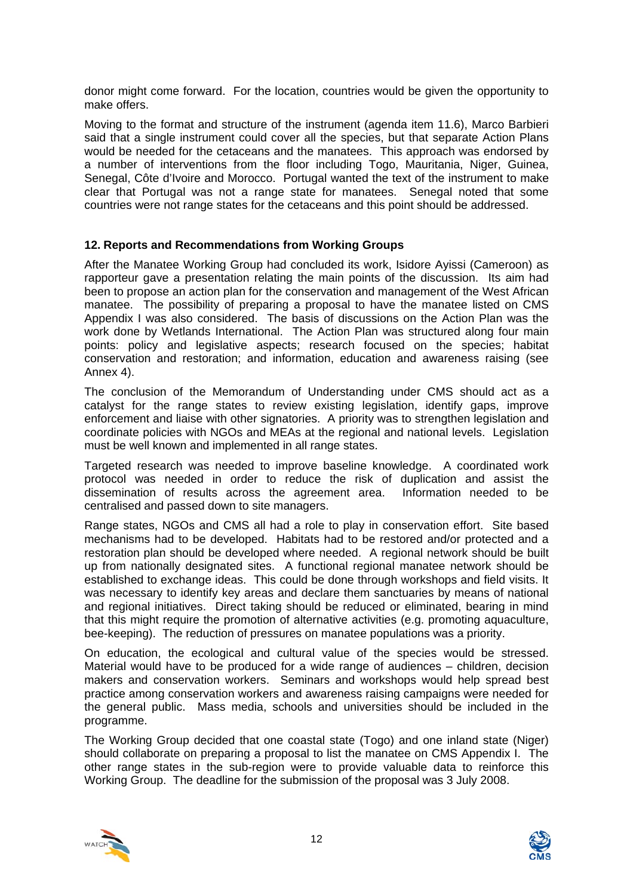donor might come forward. For the location, countries would be given the opportunity to make offers.

Moving to the format and structure of the instrument (agenda item 11.6), Marco Barbieri said that a single instrument could cover all the species, but that separate Action Plans would be needed for the cetaceans and the manatees. This approach was endorsed by a number of interventions from the floor including Togo, Mauritania, Niger, Guinea, Senegal, Côte d'Ivoire and Morocco. Portugal wanted the text of the instrument to make clear that Portugal was not a range state for manatees. Senegal noted that some countries were not range states for the cetaceans and this point should be addressed.

# **12. Reports and Recommendations from Working Groups**

After the Manatee Working Group had concluded its work, Isidore Ayissi (Cameroon) as rapporteur gave a presentation relating the main points of the discussion. Its aim had been to propose an action plan for the conservation and management of the West African manatee. The possibility of preparing a proposal to have the manatee listed on CMS Appendix I was also considered. The basis of discussions on the Action Plan was the work done by Wetlands International. The Action Plan was structured along four main points: policy and legislative aspects; research focused on the species; habitat conservation and restoration; and information, education and awareness raising (see Annex 4).

The conclusion of the Memorandum of Understanding under CMS should act as a catalyst for the range states to review existing legislation, identify gaps, improve enforcement and liaise with other signatories. A priority was to strengthen legislation and coordinate policies with NGOs and MEAs at the regional and national levels. Legislation must be well known and implemented in all range states.

Targeted research was needed to improve baseline knowledge. A coordinated work protocol was needed in order to reduce the risk of duplication and assist the dissemination of results across the agreement area. Information needed to be centralised and passed down to site managers.

Range states, NGOs and CMS all had a role to play in conservation effort. Site based mechanisms had to be developed. Habitats had to be restored and/or protected and a restoration plan should be developed where needed. A regional network should be built up from nationally designated sites. A functional regional manatee network should be established to exchange ideas. This could be done through workshops and field visits. It was necessary to identify key areas and declare them sanctuaries by means of national and regional initiatives. Direct taking should be reduced or eliminated, bearing in mind that this might require the promotion of alternative activities (e.g. promoting aquaculture, bee-keeping). The reduction of pressures on manatee populations was a priority.

On education, the ecological and cultural value of the species would be stressed. Material would have to be produced for a wide range of audiences – children, decision makers and conservation workers. Seminars and workshops would help spread best practice among conservation workers and awareness raising campaigns were needed for the general public. Mass media, schools and universities should be included in the programme.

The Working Group decided that one coastal state (Togo) and one inland state (Niger) should collaborate on preparing a proposal to list the manatee on CMS Appendix I. The other range states in the sub-region were to provide valuable data to reinforce this Working Group. The deadline for the submission of the proposal was 3 July 2008.



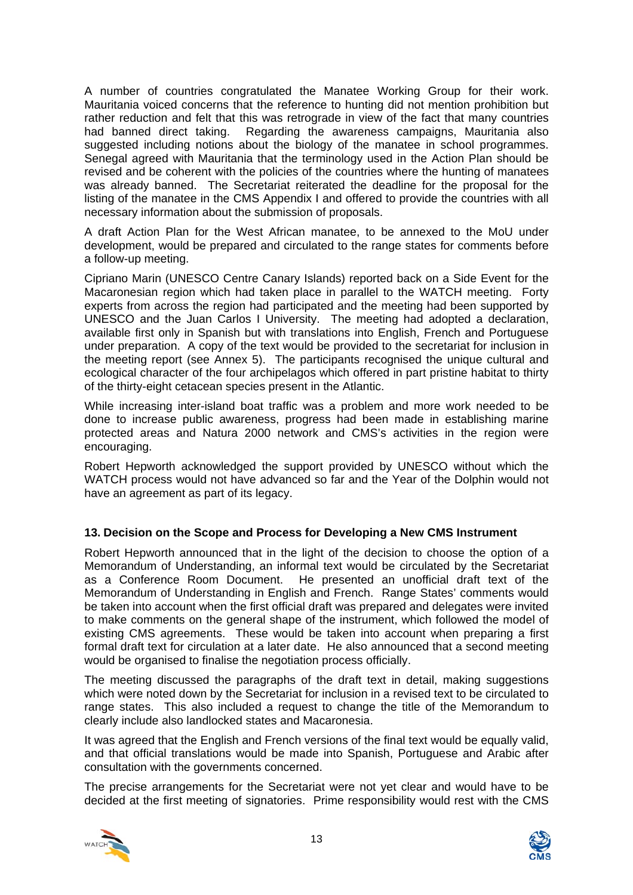A number of countries congratulated the Manatee Working Group for their work. Mauritania voiced concerns that the reference to hunting did not mention prohibition but rather reduction and felt that this was retrograde in view of the fact that many countries had banned direct taking. Regarding the awareness campaigns, Mauritania also suggested including notions about the biology of the manatee in school programmes. Senegal agreed with Mauritania that the terminology used in the Action Plan should be revised and be coherent with the policies of the countries where the hunting of manatees was already banned. The Secretariat reiterated the deadline for the proposal for the listing of the manatee in the CMS Appendix I and offered to provide the countries with all necessary information about the submission of proposals.

A draft Action Plan for the West African manatee, to be annexed to the MoU under development, would be prepared and circulated to the range states for comments before a follow-up meeting.

Cipriano Marin (UNESCO Centre Canary Islands) reported back on a Side Event for the Macaronesian region which had taken place in parallel to the WATCH meeting. Forty experts from across the region had participated and the meeting had been supported by UNESCO and the Juan Carlos I University. The meeting had adopted a declaration, available first only in Spanish but with translations into English, French and Portuguese under preparation. A copy of the text would be provided to the secretariat for inclusion in the meeting report (see Annex 5). The participants recognised the unique cultural and ecological character of the four archipelagos which offered in part pristine habitat to thirty of the thirty-eight cetacean species present in the Atlantic.

While increasing inter-island boat traffic was a problem and more work needed to be done to increase public awareness, progress had been made in establishing marine protected areas and Natura 2000 network and CMS's activities in the region were encouraging.

Robert Hepworth acknowledged the support provided by UNESCO without which the WATCH process would not have advanced so far and the Year of the Dolphin would not have an agreement as part of its legacy.

# **13. Decision on the Scope and Process for Developing a New CMS Instrument**

Robert Hepworth announced that in the light of the decision to choose the option of a Memorandum of Understanding, an informal text would be circulated by the Secretariat as a Conference Room Document. He presented an unofficial draft text of the Memorandum of Understanding in English and French. Range States' comments would be taken into account when the first official draft was prepared and delegates were invited to make comments on the general shape of the instrument, which followed the model of existing CMS agreements. These would be taken into account when preparing a first formal draft text for circulation at a later date. He also announced that a second meeting would be organised to finalise the negotiation process officially.

The meeting discussed the paragraphs of the draft text in detail, making suggestions which were noted down by the Secretariat for inclusion in a revised text to be circulated to range states. This also included a request to change the title of the Memorandum to clearly include also landlocked states and Macaronesia.

It was agreed that the English and French versions of the final text would be equally valid, and that official translations would be made into Spanish, Portuguese and Arabic after consultation with the governments concerned.

The precise arrangements for the Secretariat were not yet clear and would have to be decided at the first meeting of signatories. Prime responsibility would rest with the CMS



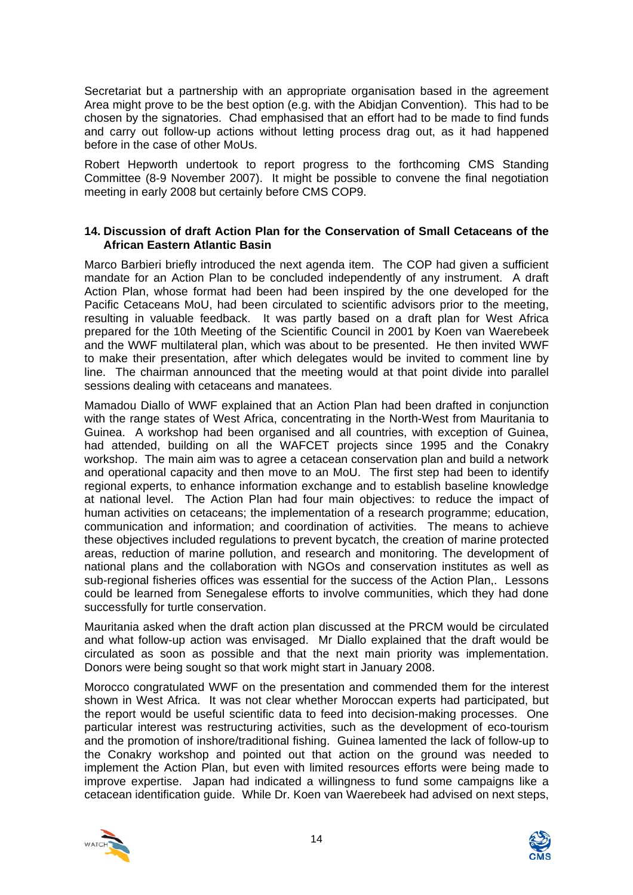Secretariat but a partnership with an appropriate organisation based in the agreement Area might prove to be the best option (e.g. with the Abidjan Convention). This had to be chosen by the signatories. Chad emphasised that an effort had to be made to find funds and carry out follow-up actions without letting process drag out, as it had happened before in the case of other MoUs.

Robert Hepworth undertook to report progress to the forthcoming CMS Standing Committee (8-9 November 2007). It might be possible to convene the final negotiation meeting in early 2008 but certainly before CMS COP9.

# **14. Discussion of draft Action Plan for the Conservation of Small Cetaceans of the African Eastern Atlantic Basin**

Marco Barbieri briefly introduced the next agenda item. The COP had given a sufficient mandate for an Action Plan to be concluded independently of any instrument. A draft Action Plan, whose format had been had been inspired by the one developed for the Pacific Cetaceans MoU, had been circulated to scientific advisors prior to the meeting, resulting in valuable feedback. It was partly based on a draft plan for West Africa prepared for the 10th Meeting of the Scientific Council in 2001 by Koen van Waerebeek and the WWF multilateral plan, which was about to be presented. He then invited WWF to make their presentation, after which delegates would be invited to comment line by line. The chairman announced that the meeting would at that point divide into parallel sessions dealing with cetaceans and manatees.

Mamadou Diallo of WWF explained that an Action Plan had been drafted in conjunction with the range states of West Africa, concentrating in the North-West from Mauritania to Guinea. A workshop had been organised and all countries, with exception of Guinea, had attended, building on all the WAFCET projects since 1995 and the Conakry workshop. The main aim was to agree a cetacean conservation plan and build a network and operational capacity and then move to an MoU. The first step had been to identify regional experts, to enhance information exchange and to establish baseline knowledge at national level. The Action Plan had four main objectives: to reduce the impact of human activities on cetaceans; the implementation of a research programme; education, communication and information; and coordination of activities. The means to achieve these objectives included regulations to prevent bycatch, the creation of marine protected areas, reduction of marine pollution, and research and monitoring. The development of national plans and the collaboration with NGOs and conservation institutes as well as sub-regional fisheries offices was essential for the success of the Action Plan,. Lessons could be learned from Senegalese efforts to involve communities, which they had done successfully for turtle conservation.

Mauritania asked when the draft action plan discussed at the PRCM would be circulated and what follow-up action was envisaged. Mr Diallo explained that the draft would be circulated as soon as possible and that the next main priority was implementation. Donors were being sought so that work might start in January 2008.

Morocco congratulated WWF on the presentation and commended them for the interest shown in West Africa. It was not clear whether Moroccan experts had participated, but the report would be useful scientific data to feed into decision-making processes. One particular interest was restructuring activities, such as the development of eco-tourism and the promotion of inshore/traditional fishing. Guinea lamented the lack of follow-up to the Conakry workshop and pointed out that action on the ground was needed to implement the Action Plan, but even with limited resources efforts were being made to improve expertise. Japan had indicated a willingness to fund some campaigns like a cetacean identification guide. While Dr. Koen van Waerebeek had advised on next steps,



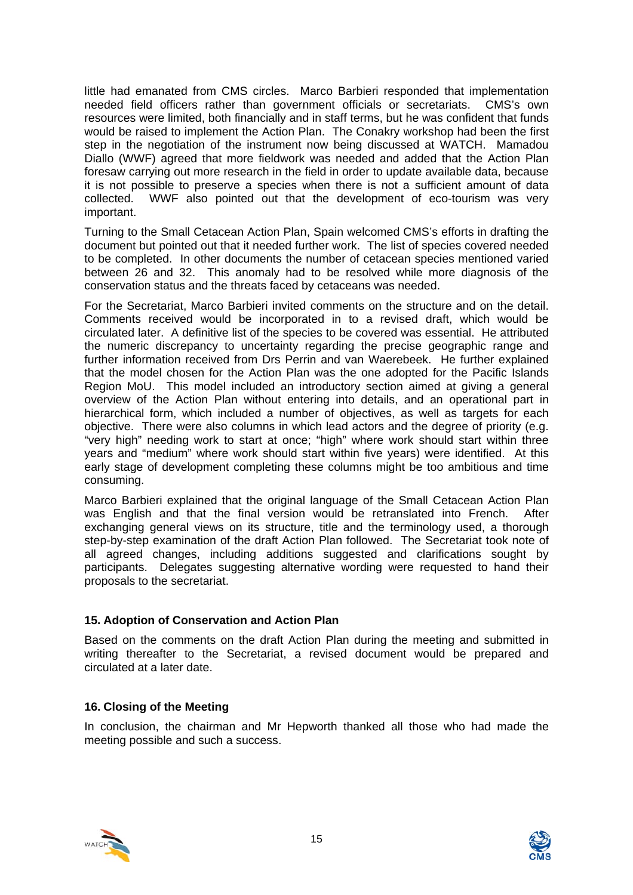little had emanated from CMS circles. Marco Barbieri responded that implementation needed field officers rather than government officials or secretariats. CMS's own resources were limited, both financially and in staff terms, but he was confident that funds would be raised to implement the Action Plan. The Conakry workshop had been the first step in the negotiation of the instrument now being discussed at WATCH. Mamadou Diallo (WWF) agreed that more fieldwork was needed and added that the Action Plan foresaw carrying out more research in the field in order to update available data, because it is not possible to preserve a species when there is not a sufficient amount of data collected. WWF also pointed out that the development of eco-tourism was very important.

Turning to the Small Cetacean Action Plan, Spain welcomed CMS's efforts in drafting the document but pointed out that it needed further work. The list of species covered needed to be completed. In other documents the number of cetacean species mentioned varied between 26 and 32. This anomaly had to be resolved while more diagnosis of the conservation status and the threats faced by cetaceans was needed.

For the Secretariat, Marco Barbieri invited comments on the structure and on the detail. Comments received would be incorporated in to a revised draft, which would be circulated later. A definitive list of the species to be covered was essential. He attributed the numeric discrepancy to uncertainty regarding the precise geographic range and further information received from Drs Perrin and van Waerebeek. He further explained that the model chosen for the Action Plan was the one adopted for the Pacific Islands Region MoU. This model included an introductory section aimed at giving a general overview of the Action Plan without entering into details, and an operational part in hierarchical form, which included a number of objectives, as well as targets for each objective. There were also columns in which lead actors and the degree of priority (e.g. "very high" needing work to start at once; "high" where work should start within three years and "medium" where work should start within five years) were identified. At this early stage of development completing these columns might be too ambitious and time consuming.

Marco Barbieri explained that the original language of the Small Cetacean Action Plan was English and that the final version would be retranslated into French. After exchanging general views on its structure, title and the terminology used, a thorough step-by-step examination of the draft Action Plan followed. The Secretariat took note of all agreed changes, including additions suggested and clarifications sought by participants. Delegates suggesting alternative wording were requested to hand their proposals to the secretariat.

# **15. Adoption of Conservation and Action Plan**

Based on the comments on the draft Action Plan during the meeting and submitted in writing thereafter to the Secretariat, a revised document would be prepared and circulated at a later date.

# **16. Closing of the Meeting**

In conclusion, the chairman and Mr Hepworth thanked all those who had made the meeting possible and such a success.



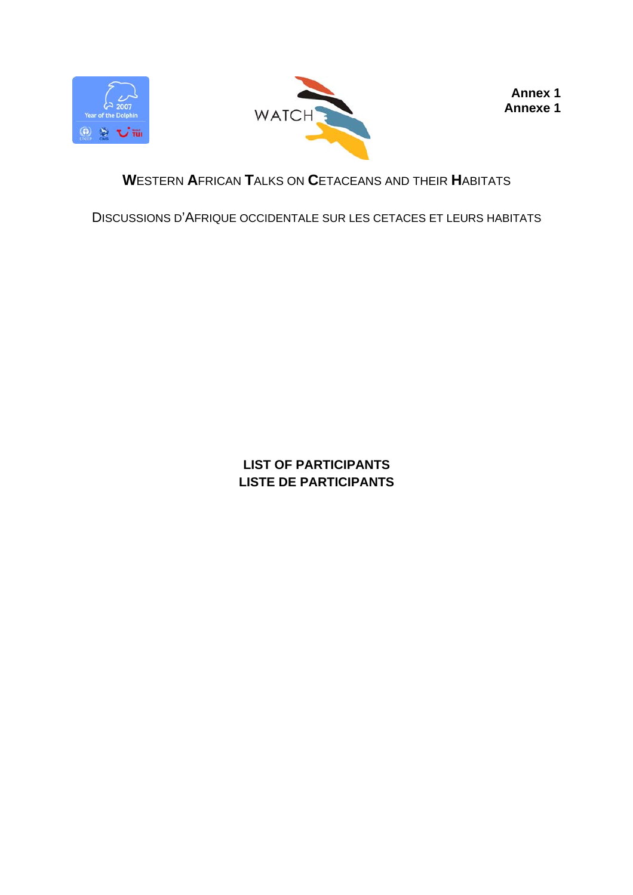



**Annex 1 Annexe 1** 

# **W**ESTERN **A**FRICAN **T**ALKS ON **C**ETACEANS AND THEIR **H**ABITATS

DISCUSSIONS D'AFRIQUE OCCIDENTALE SUR LES CETACES ET LEURS HABITATS

**LIST OF PARTICIPANTS LISTE DE PARTICIPANTS**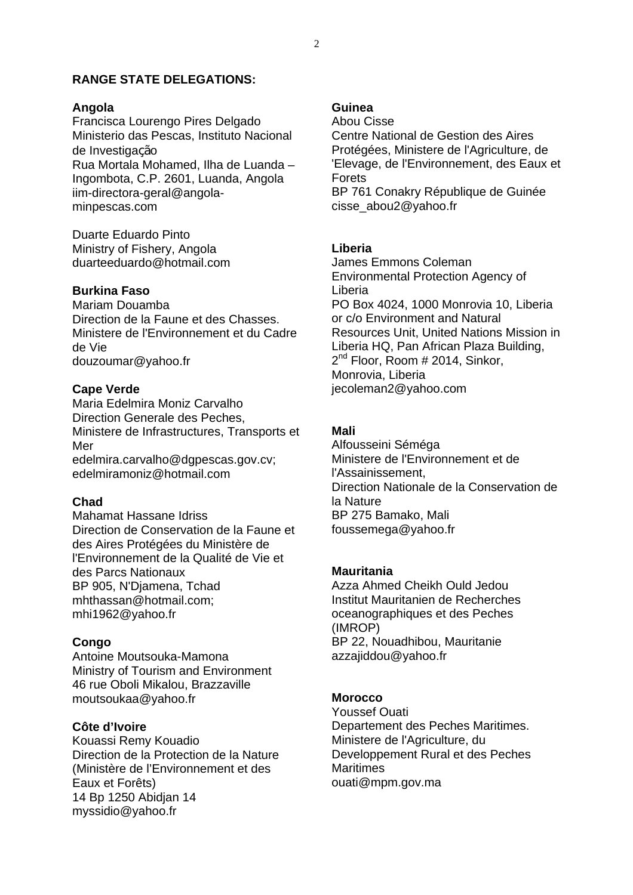# **RANGE STATE DELEGATIONS:**

#### **Angola**

Francisca Lourengo Pires Delgado Ministerio das Pescas, Instituto Nacional de Investigação Rua Mortala Mohamed, Ilha de Luanda – Ingombota, C.P. 2601, Luanda, Angola iim-directora-geral@angolaminpescas.com

Duarte Eduardo Pinto Ministry of Fishery, Angola duarteeduardo@hotmail.com

# **Burkina Faso**

Mariam Douamba Direction de la Faune et des Chasses. Ministere de l'Environnement et du Cadre de Vie douzoumar@yahoo.fr

#### **Cape Verde**

Maria Edelmira Moniz Carvalho Direction Generale des Peches, Ministere de Infrastructures, Transports et Mer

edelmira.carvalho@dgpescas.gov.cv; edelmiramoniz@hotmail.com

# **Chad**

Mahamat Hassane Idriss Direction de Conservation de la Faune et des Aires Protégées du Ministère de l'Environnement de la Qualité de Vie et des Parcs Nationaux BP 905, N'Djamena, Tchad mhthassan@hotmail.com; mhi1962@yahoo.fr

#### **Congo**

Antoine Moutsouka-Mamona Ministry of Tourism and Environment 46 rue Oboli Mikalou, Brazzaville moutsoukaa@yahoo.fr

# **Côte d'Ivoire**

Kouassi Remy Kouadio Direction de la Protection de la Nature (Ministère de l'Environnement et des Eaux et Forêts) 14 Bp 1250 Abidjan 14 myssidio@yahoo.fr

# **Guinea**

Abou Cisse Centre National de Gestion des Aires Protégées, Ministere de l'Agriculture, de 'Elevage, de l'Environnement, des Eaux et Forets BP 761 Conakry République de Guinée cisse\_abou2@yahoo.fr

#### **Liberia**

James Emmons Coleman Environmental Protection Agency of Liberia PO Box 4024, 1000 Monrovia 10, Liberia or c/o Environment and Natural Resources Unit, United Nations Mission in Liberia HQ, Pan African Plaza Building,  $2^{nd}$  Floor, Room # 2014, Sinkor, Monrovia, Liberia jecoleman2@yahoo.com

### **Mali**

Alfousseini Séméga Ministere de l'Environnement et de l'Assainissement, Direction Nationale de la Conservation de la Nature BP 275 Bamako, Mali foussemega@yahoo.fr

#### **Mauritania**

Azza Ahmed Cheikh Ould Jedou Institut Mauritanien de Recherches oceanographiques et des Peches (IMROP) BP 22, Nouadhibou, Mauritanie azzajiddou@yahoo.fr

# **Morocco**

Youssef Ouati Departement des Peches Maritimes. Ministere de l'Agriculture, du Developpement Rural et des Peches **Maritimes** ouati@mpm.gov.ma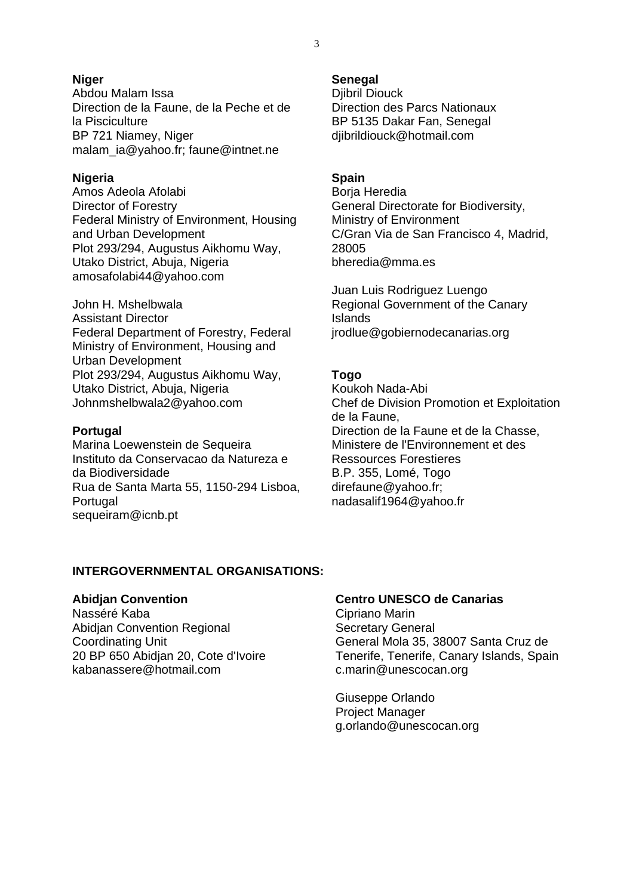#### **Niger**

Abdou Malam Issa Direction de la Faune, de la Peche et de la Pisciculture BP 721 Niamey, Niger malam\_ia@yahoo.fr; faune@intnet.ne

#### **Nigeria**

Amos Adeola Afolabi Director of Forestry Federal Ministry of Environment, Housing and Urban Development Plot 293/294, Augustus Aikhomu Way, Utako District, Abuja, Nigeria amosafolabi44@yahoo.com

John H. Mshelbwala Assistant Director Federal Department of Forestry, Federal Ministry of Environment, Housing and Urban Development Plot 293/294, Augustus Aikhomu Way, Utako District, Abuja, Nigeria Johnmshelbwala2@yahoo.com

#### **Portugal**

Marina Loewenstein de Sequeira Instituto da Conservacao da Natureza e da Biodiversidade Rua de Santa Marta 55, 1150-294 Lisboa, Portugal sequeiram@icnb.pt

# **Senegal**

Djibril Diouck Direction des Parcs Nationaux BP 5135 Dakar Fan, Senegal djibrildiouck@hotmail.com

### **Spain**

Borja Heredia General Directorate for Biodiversity, Ministry of Environment C/Gran Via de San Francisco 4, Madrid, 28005 bheredia@mma.es

Juan Luis Rodriguez Luengo Regional Government of the Canary Islands jrodlue@gobiernodecanarias.org

# **Togo**

Koukoh Nada-Abi Chef de Division Promotion et Exploitation de la Faune, Direction de la Faune et de la Chasse, Ministere de l'Environnement et des Ressources Forestieres B.P. 355, Lomé, Togo direfaune@yahoo.fr; nadasalif1964@yahoo.fr

# **INTERGOVERNMENTAL ORGANISATIONS:**

#### **Abidjan Convention**

Nasséré Kaba Abidjan Convention Regional Coordinating Unit 20 BP 650 Abidjan 20, Cote d'Ivoire kabanassere@hotmail.com

# **Centro UNESCO de Canarias**

Cipriano Marin Secretary General General Mola 35, 38007 Santa Cruz de Tenerife, Tenerife, Canary Islands, Spain c.marin@unescocan.org

Giuseppe Orlando Project Manager g.orlando@unescocan.org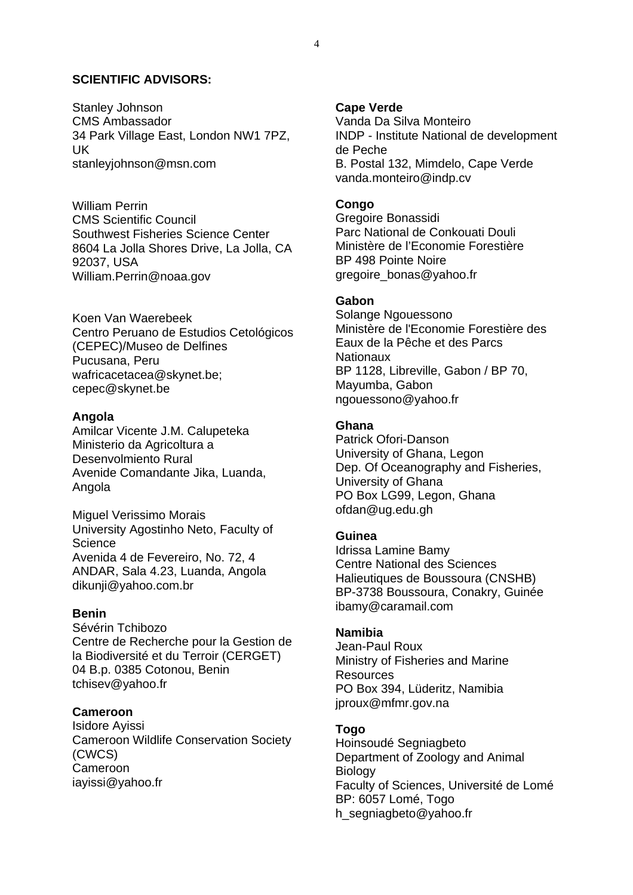#### **SCIENTIFIC ADVISORS:**

Stanley Johnson CMS Ambassador 34 Park Village East, London NW1 7PZ, UK stanleyjohnson@msn.com

William Perrin CMS Scientific Council Southwest Fisheries Science Center 8604 La Jolla Shores Drive, La Jolla, CA 92037, USA William.Perrin@noaa.gov

Koen Van Waerebeek Centro Peruano de Estudios Cetológicos (CEPEC)/Museo de Delfines Pucusana, Peru wafricacetacea@skynet.be; cepec@skynet.be

#### **Angola**

Amilcar Vicente J.M. Calupeteka Ministerio da Agricoltura a Desenvolmiento Rural Avenide Comandante Jika, Luanda, Angola

Miguel Verissimo Morais University Agostinho Neto, Faculty of **Science** Avenida 4 de Fevereiro, No. 72, 4 ANDAR, Sala 4.23, Luanda, Angola dikunji@yahoo.com.br

#### **Benin**

Sévérin Tchibozo Centre de Recherche pour la Gestion de la Biodiversité et du Terroir (CERGET) 04 B.p. 0385 Cotonou, Benin tchisev@yahoo.fr

#### **Cameroon**

Isidore Ayissi Cameroon Wildlife Conservation Society (CWCS) Cameroon iayissi@yahoo.fr

#### **Cape Verde**

Vanda Da Silva Monteiro INDP - Institute National de development de Peche B. Postal 132, Mimdelo, Cape Verde vanda.monteiro@indp.cv

#### **Congo**

Gregoire Bonassidi Parc National de Conkouati Douli Ministère de l'Economie Forestière BP 498 Pointe Noire gregoire\_bonas@yahoo.fr

#### **Gabon**

Solange Ngouessono Ministère de l'Economie Forestière des Eaux de la Pêche et des Parcs **Nationaux** BP 1128, Libreville, Gabon / BP 70, Mayumba, Gabon ngouessono@yahoo.fr

#### **Ghana**

Patrick Ofori-Danson University of Ghana, Legon Dep. Of Oceanography and Fisheries, University of Ghana PO Box LG99, Legon, Ghana ofdan@ug.edu.gh

#### **Guinea**

Idrissa Lamine Bamy Centre National des Sciences Halieutiques de Boussoura (CNSHB) BP-3738 Boussoura, Conakry, Guinée ibamy@caramail.com

#### **Namibia**

Jean-Paul Roux Ministry of Fisheries and Marine Resources PO Box 394, Lüderitz, Namibia jproux@mfmr.gov.na

#### **Togo**

Hoinsoudé Segniagbeto Department of Zoology and Animal **Biology** Faculty of Sciences, Université de Lomé BP: 6057 Lomé, Togo h\_segniagbeto@yahoo.fr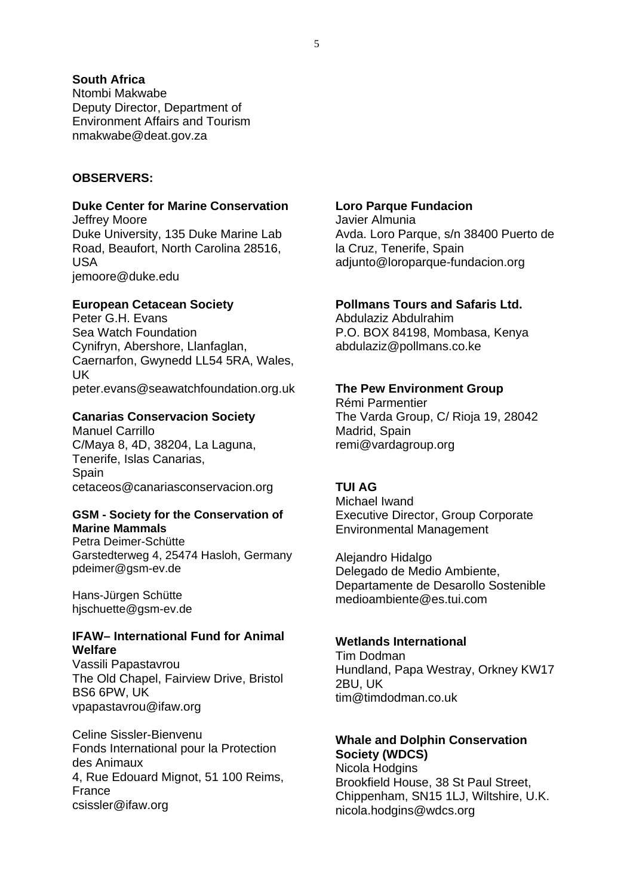# **South Africa**

Ntombi Makwabe Deputy Director, Department of Environment Affairs and Tourism nmakwabe@deat.gov.za

### **OBSERVERS:**

# **Duke Center for Marine Conservation**

Jeffrey Moore Duke University, 135 Duke Marine Lab Road, Beaufort, North Carolina 28516, USA jemoore@duke.edu

#### **European Cetacean Society**

Peter G.H. Evans Sea Watch Foundation Cynifryn, Abershore, Llanfaglan, Caernarfon, Gwynedd LL54 5RA, Wales, UK peter.evans@seawatchfoundation.org.uk

#### **Canarias Conservacion Society**

Manuel Carrillo C/Maya 8, 4D, 38204, La Laguna, Tenerife, Islas Canarias, **Spain** cetaceos@canariasconservacion.org

#### **GSM - Society for the Conservation of Marine Mammals**

Petra Deimer-Schütte Garstedterweg 4, 25474 Hasloh, Germany pdeimer@gsm-ev.de

Hans-Jürgen Schütte hjschuette@gsm-ev.de

# **IFAW– International Fund for Animal Welfare**

Vassili Papastavrou The Old Chapel, Fairview Drive, Bristol BS6 6PW, UK vpapastavrou@ifaw.org

Celine Sissler-Bienvenu Fonds International pour la Protection des Animaux 4, Rue Edouard Mignot, 51 100 Reims, France csissler@ifaw.org

# **Loro Parque Fundacion**

Javier Almunia Avda. Loro Parque, s/n 38400 Puerto de la Cruz, Tenerife, Spain adjunto@loroparque-fundacion.org

# **Pollmans Tours and Safaris Ltd.**

Abdulaziz Abdulrahim P.O. BOX 84198, Mombasa, Kenya abdulaziz@pollmans.co.ke

#### **The Pew Environment Group**

Rémi Parmentier The Varda Group, C/ Rioja 19, 28042 Madrid, Spain remi@vardagroup.org

# **TUI AG**

Michael Iwand Executive Director, Group Corporate Environmental Management

Alejandro Hidalgo Delegado de Medio Ambiente, Departamente de Desarollo Sostenible medioambiente@es.tui.com

#### **Wetlands International**

Tim Dodman Hundland, Papa Westray, Orkney KW17 2BU, UK tim@timdodman.co.uk

#### **Whale and Dolphin Conservation Society (WDCS)**

Nicola Hodgins Brookfield House, 38 St Paul Street, Chippenham, SN15 1LJ, Wiltshire, U.K. nicola.hodgins@wdcs.org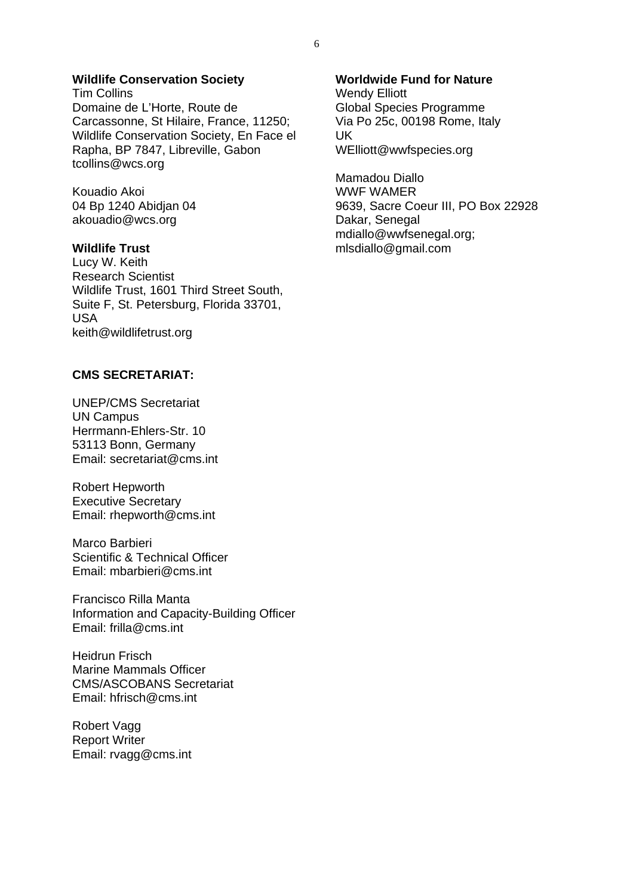# **Wildlife Conservation Society**

Tim Collins Domaine de L'Horte, Route de Carcassonne, St Hilaire, France, 11250; Wildlife Conservation Society, En Face el Rapha, BP 7847, Libreville, Gabon tcollins@wcs.org

Kouadio Akoi 04 Bp 1240 Abidjan 04 akouadio@wcs.org

#### **Wildlife Trust**

Lucy W. Keith Research Scientist Wildlife Trust, 1601 Third Street South, Suite F, St. Petersburg, Florida 33701, USA keith@wildlifetrust.org

# **CMS SECRETARIAT:**

UNEP/CMS Secretariat UN Campus Herrmann-Ehlers-Str. 10 53113 Bonn, Germany Email: secretariat@cms.int

Robert Hepworth Executive Secretary Email: rhepworth@cms.int

Marco Barbieri Scientific & Technical Officer Email: mbarbieri@cms.int

Francisco Rilla Manta Information and Capacity-Building Officer Email: frilla@cms.int

Heidrun Frisch Marine Mammals Officer CMS/ASCOBANS Secretariat Email: hfrisch@cms.int

Robert Vagg Report Writer Email: rvagg@cms.int

#### **Worldwide Fund for Nature**

Wendy Elliott Global Species Programme Via Po 25c, 00198 Rome, Italy UK WElliott@wwfspecies.org

Mamadou Diallo WWF WAMER 9639, Sacre Coeur III, PO Box 22928 Dakar, Senegal mdiallo@wwfsenegal.org; mlsdiallo@gmail.com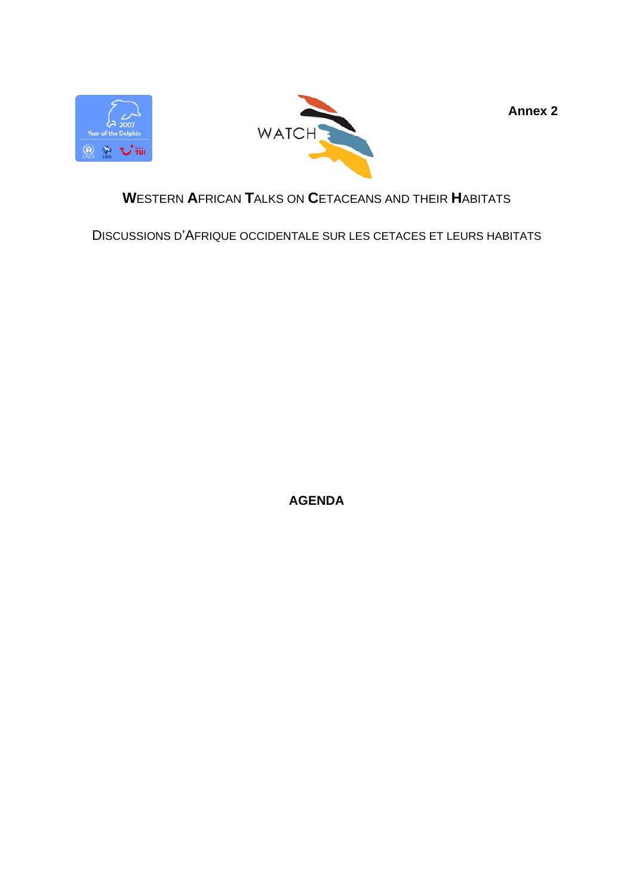



**Annex 2** 

# **W**ESTERN **A**FRICAN **T**ALKS ON **C**ETACEANS AND THEIR **H**ABITATS

DISCUSSIONS D'AFRIQUE OCCIDENTALE SUR LES CETACES ET LEURS HABITATS

**AGENDA**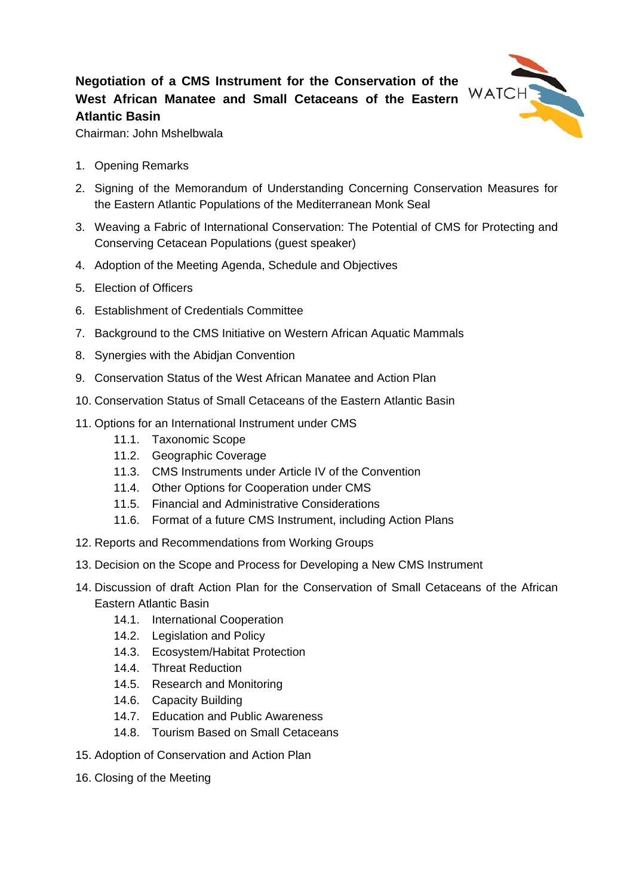# **Negotiation of a CMS Instrument for the Conservation of the West African Manatee and Small Cetaceans of the Eastern Atlantic Basin**



Chairman: John Mshelbwala

- 1. Opening Remarks
- 2. Signing of the Memorandum of Understanding Concerning Conservation Measures for the Eastern Atlantic Populations of the Mediterranean Monk Seal
- 3. Weaving a Fabric of International Conservation: The Potential of CMS for Protecting and Conserving Cetacean Populations (guest speaker)
- 4. Adoption of the Meeting Agenda, Schedule and Objectives
- 5. Election of Officers
- 6. Establishment of Credentials Committee
- 7. Background to the CMS Initiative on Western African Aquatic Mammals
- 8. Synergies with the Abidjan Convention
- 9. Conservation Status of the West African Manatee and Action Plan
- 10. Conservation Status of Small Cetaceans of the Eastern Atlantic Basin
- 11. Options for an International Instrument under CMS
	- 11.1. Taxonomic Scope
	- 11.2. Geographic Coverage
	- 11.3. CMS Instruments under Article IV of the Convention
	- 11.4. Other Options for Cooperation under CMS
	- 11.5. Financial and Administrative Considerations
	- 11.6. Format of a future CMS Instrument, including Action Plans
- 12. Reports and Recommendations from Working Groups
- 13. Decision on the Scope and Process for Developing a New CMS Instrument
- 14. Discussion of draft Action Plan for the Conservation of Small Cetaceans of the African Eastern Atlantic Basin
	- 14.1. International Cooperation
	- 14.2. Legislation and Policy
	- 14.3. Ecosystem/Habitat Protection
	- 14.4. Threat Reduction
	- 14.5. Research and Monitoring
	- 14.6. Capacity Building
	- 14.7. Education and Public Awareness
	- 14.8. Tourism Based on Small Cetaceans
- 15. Adoption of Conservation and Action Plan
- 16. Closing of the Meeting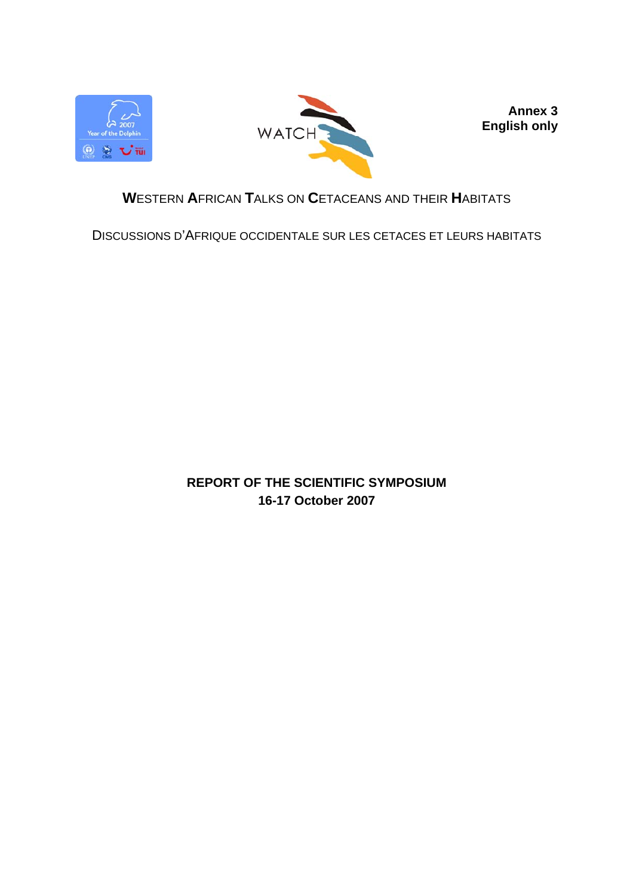



**Annex 3 English only** 

# **W**ESTERN **A**FRICAN **T**ALKS ON **C**ETACEANS AND THEIR **H**ABITATS

DISCUSSIONS D'AFRIQUE OCCIDENTALE SUR LES CETACES ET LEURS HABITATS

**REPORT OF THE SCIENTIFIC SYMPOSIUM 16-17 October 2007**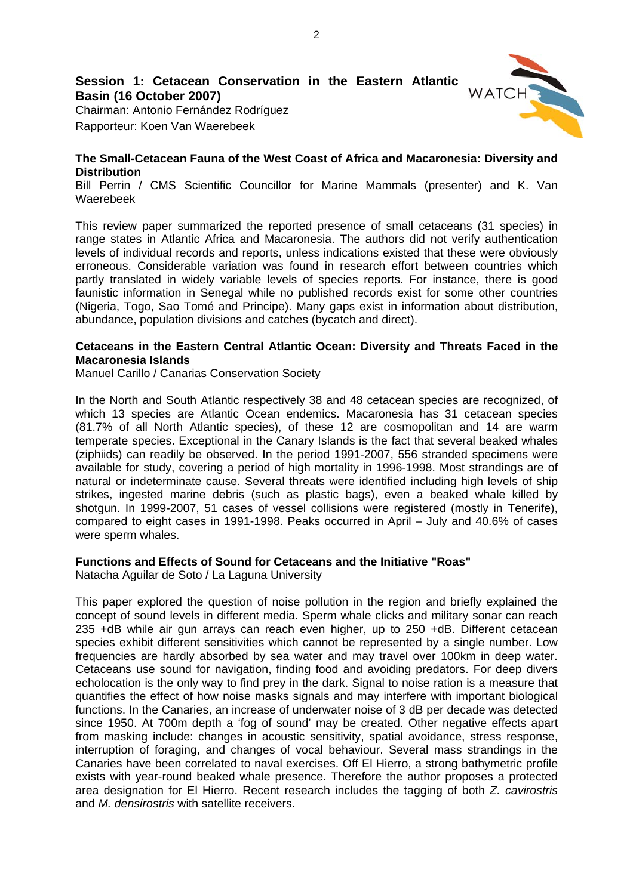# **Session 1: Cetacean Conservation in the Eastern Atlantic Basin (16 October 2007)**

Chairman: Antonio Fernández Rodríguez Rapporteur: Koen Van Waerebeek

#### **The Small-Cetacean Fauna of the West Coast of Africa and Macaronesia: Diversity and Distribution**

Bill Perrin / CMS Scientific Councillor for Marine Mammals (presenter) and K. Van Waerebeek

This review paper summarized the reported presence of small cetaceans (31 species) in range states in Atlantic Africa and Macaronesia. The authors did not verify authentication levels of individual records and reports, unless indications existed that these were obviously erroneous. Considerable variation was found in research effort between countries which partly translated in widely variable levels of species reports. For instance, there is good faunistic information in Senegal while no published records exist for some other countries (Nigeria, Togo, Sao Tomé and Principe). Many gaps exist in information about distribution, abundance, population divisions and catches (bycatch and direct).

### **Cetaceans in the Eastern Central Atlantic Ocean: Diversity and Threats Faced in the Macaronesia Islands**

Manuel Carillo / Canarias Conservation Society

In the North and South Atlantic respectively 38 and 48 cetacean species are recognized, of which 13 species are Atlantic Ocean endemics. Macaronesia has 31 cetacean species (81.7% of all North Atlantic species), of these 12 are cosmopolitan and 14 are warm temperate species. Exceptional in the Canary Islands is the fact that several beaked whales (ziphiids) can readily be observed. In the period 1991-2007, 556 stranded specimens were available for study, covering a period of high mortality in 1996-1998. Most strandings are of natural or indeterminate cause. Several threats were identified including high levels of ship strikes, ingested marine debris (such as plastic bags), even a beaked whale killed by shotgun. In 1999-2007, 51 cases of vessel collisions were registered (mostly in Tenerife), compared to eight cases in 1991-1998. Peaks occurred in April – July and 40.6% of cases were sperm whales.

#### **Functions and Effects of Sound for Cetaceans and the Initiative "Roas"**

Natacha Aguilar de Soto / La Laguna University

This paper explored the question of noise pollution in the region and briefly explained the concept of sound levels in different media. Sperm whale clicks and military sonar can reach 235 +dB while air gun arrays can reach even higher, up to 250 +dB. Different cetacean species exhibit different sensitivities which cannot be represented by a single number. Low frequencies are hardly absorbed by sea water and may travel over 100km in deep water. Cetaceans use sound for navigation, finding food and avoiding predators. For deep divers echolocation is the only way to find prey in the dark. Signal to noise ration is a measure that quantifies the effect of how noise masks signals and may interfere with important biological functions. In the Canaries, an increase of underwater noise of 3 dB per decade was detected since 1950. At 700m depth a 'fog of sound' may be created. Other negative effects apart from masking include: changes in acoustic sensitivity, spatial avoidance, stress response, interruption of foraging, and changes of vocal behaviour. Several mass strandings in the Canaries have been correlated to naval exercises. Off El Hierro, a strong bathymetric profile exists with year-round beaked whale presence. Therefore the author proposes a protected area designation for El Hierro. Recent research includes the tagging of both *Z. cavirostris* and *M. densirostris* with satellite receivers.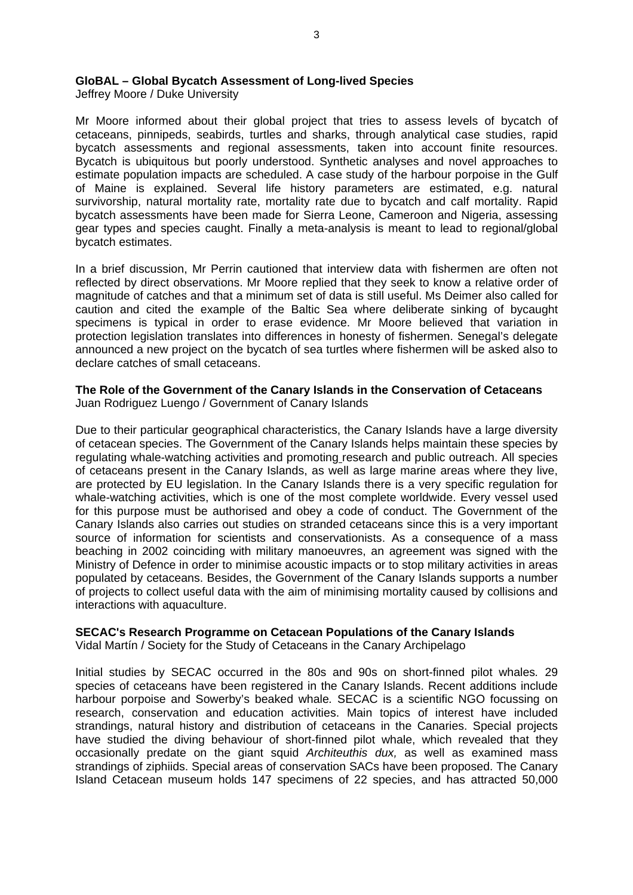#### **GloBAL – Global Bycatch Assessment of Long-lived Species**

Jeffrey Moore / Duke University

Mr Moore informed about their global project that tries to assess levels of bycatch of cetaceans, pinnipeds, seabirds, turtles and sharks, through analytical case studies, rapid bycatch assessments and regional assessments, taken into account finite resources. Bycatch is ubiquitous but poorly understood. Synthetic analyses and novel approaches to estimate population impacts are scheduled. A case study of the harbour porpoise in the Gulf of Maine is explained. Several life history parameters are estimated, e.g. natural survivorship, natural mortality rate, mortality rate due to bycatch and calf mortality. Rapid bycatch assessments have been made for Sierra Leone, Cameroon and Nigeria, assessing gear types and species caught. Finally a meta-analysis is meant to lead to regional/global bycatch estimates.

In a brief discussion, Mr Perrin cautioned that interview data with fishermen are often not reflected by direct observations. Mr Moore replied that they seek to know a relative order of magnitude of catches and that a minimum set of data is still useful. Ms Deimer also called for caution and cited the example of the Baltic Sea where deliberate sinking of bycaught specimens is typical in order to erase evidence. Mr Moore believed that variation in protection legislation translates into differences in honesty of fishermen. Senegal's delegate announced a new project on the bycatch of sea turtles where fishermen will be asked also to declare catches of small cetaceans.

#### **The Role of the Government of the Canary Islands in the Conservation of Cetaceans**  Juan Rodriguez Luengo / Government of Canary Islands

Due to their particular geographical characteristics, the Canary Islands have a large diversity of cetacean species. The Government of the Canary Islands helps maintain these species by regulating whale-watching activities and promoting research and public outreach. All species of cetaceans present in the Canary Islands, as well as large marine areas where they live, are protected by EU legislation. In the Canary Islands there is a very specific regulation for whale-watching activities, which is one of the most complete worldwide. Every vessel used for this purpose must be authorised and obey a code of conduct. The Government of the Canary Islands also carries out studies on stranded cetaceans since this is a very important source of information for scientists and conservationists. As a consequence of a mass beaching in 2002 coinciding with military manoeuvres, an agreement was signed with the Ministry of Defence in order to minimise acoustic impacts or to stop military activities in areas populated by cetaceans. Besides, the Government of the Canary Islands supports a number of projects to collect useful data with the aim of minimising mortality caused by collisions and interactions with aquaculture.

#### **SECAC's Research Programme on Cetacean Populations of the Canary Islands**

Vidal Martín / Society for the Study of Cetaceans in the Canary Archipelago

Initial studies by SECAC occurred in the 80s and 90s on short-finned pilot whales*.* 29 species of cetaceans have been registered in the Canary Islands. Recent additions include harbour porpoise and Sowerby's beaked whale*.* SECAC is a scientific NGO focussing on research, conservation and education activities. Main topics of interest have included strandings, natural history and distribution of cetaceans in the Canaries. Special projects have studied the diving behaviour of short-finned pilot whale, which revealed that they occasionally predate on the giant squid *Architeuthis dux,* as well as examined mass strandings of ziphiids. Special areas of conservation SACs have been proposed. The Canary Island Cetacean museum holds 147 specimens of 22 species, and has attracted 50,000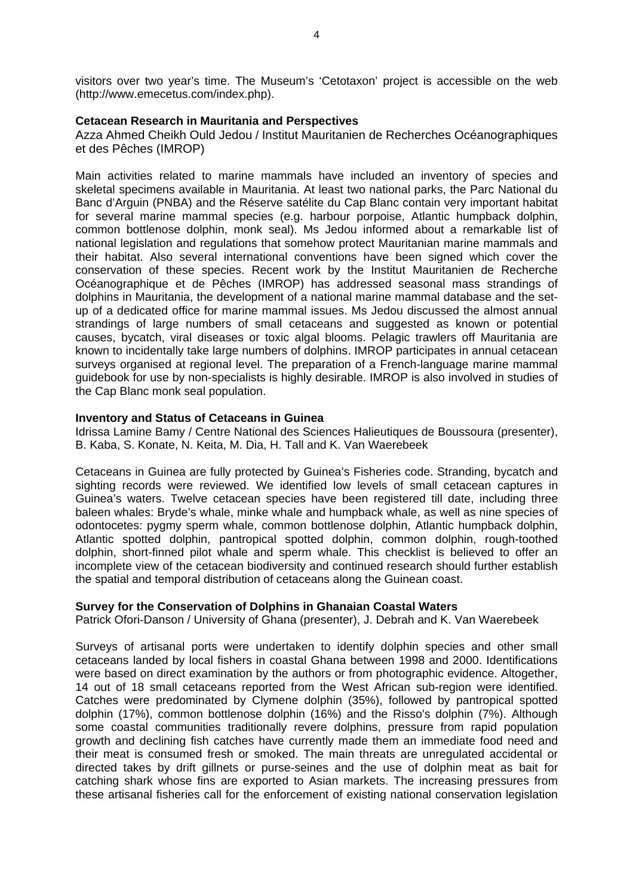visitors over two year's time. The Museum's 'Cetotaxon' project is accessible on the web (http://www.emecetus.com/index.php).

#### **Cetacean Research in Mauritania and Perspectives**

Azza Ahmed Cheikh Ould Jedou / Institut Mauritanien de Recherches Océanographiques et des Pêches (IMROP)

Main activities related to marine mammals have included an inventory of species and skeletal specimens available in Mauritania. At least two national parks, the Parc National du Banc d'Arguin (PNBA) and the Réserve satélite du Cap Blanc contain very important habitat for several marine mammal species (e.g. harbour porpoise, Atlantic humpback dolphin, common bottlenose dolphin, monk seal). Ms Jedou informed about a remarkable list of national legislation and regulations that somehow protect Mauritanian marine mammals and their habitat. Also several international conventions have been signed which cover the conservation of these species. Recent work by the Institut Mauritanien de Recherche Océanographique et de Pêches (IMROP) has addressed seasonal mass strandings of dolphins in Mauritania, the development of a national marine mammal database and the setup of a dedicated office for marine mammal issues. Ms Jedou discussed the almost annual strandings of large numbers of small cetaceans and suggested as known or potential causes, bycatch, viral diseases or toxic algal blooms. Pelagic trawlers off Mauritania are known to incidentally take large numbers of dolphins. IMROP participates in annual cetacean surveys organised at regional level. The preparation of a French-language marine mammal guidebook for use by non-specialists is highly desirable. IMROP is also involved in studies of the Cap Blanc monk seal population.

#### **Inventory and Status of Cetaceans in Guinea**

Idrissa Lamine Bamy / Centre National des Sciences Halieutiques de Boussoura (presenter), B. Kaba, S. Konate, N. Keita, M. Dia, H. Tall and K. Van Waerebeek

Cetaceans in Guinea are fully protected by Guinea's Fisheries code. Stranding, bycatch and sighting records were reviewed. We identified low levels of small cetacean captures in Guinea's waters. Twelve cetacean species have been registered till date, including three baleen whales: Bryde's whale, minke whale and humpback whale, as well as nine species of odontocetes: pygmy sperm whale, common bottlenose dolphin, Atlantic humpback dolphin, Atlantic spotted dolphin, pantropical spotted dolphin, common dolphin, rough-toothed dolphin, short-finned pilot whale and sperm whale. This checklist is believed to offer an incomplete view of the cetacean biodiversity and continued research should further establish the spatial and temporal distribution of cetaceans along the Guinean coast.

#### **Survey for the Conservation of Dolphins in Ghanaian Coastal Waters**

Patrick Ofori-Danson / University of Ghana (presenter), J. Debrah and K. Van Waerebeek

Surveys of artisanal ports were undertaken to identify dolphin species and other small cetaceans landed by local fishers in coastal Ghana between 1998 and 2000. Identifications were based on direct examination by the authors or from photographic evidence. Altogether, 14 out of 18 small cetaceans reported from the West African sub-region were identified. Catches were predominated by Clymene dolphin (35%), followed by pantropical spotted dolphin (17%), common bottlenose dolphin (16%) and the Risso's dolphin (7%). Although some coastal communities traditionally revere dolphins, pressure from rapid population growth and declining fish catches have currently made them an immediate food need and their meat is consumed fresh or smoked. The main threats are unregulated accidental or directed takes by drift gillnets or purse-seines and the use of dolphin meat as bait for catching shark whose fins are exported to Asian markets. The increasing pressures from these artisanal fisheries call for the enforcement of existing national conservation legislation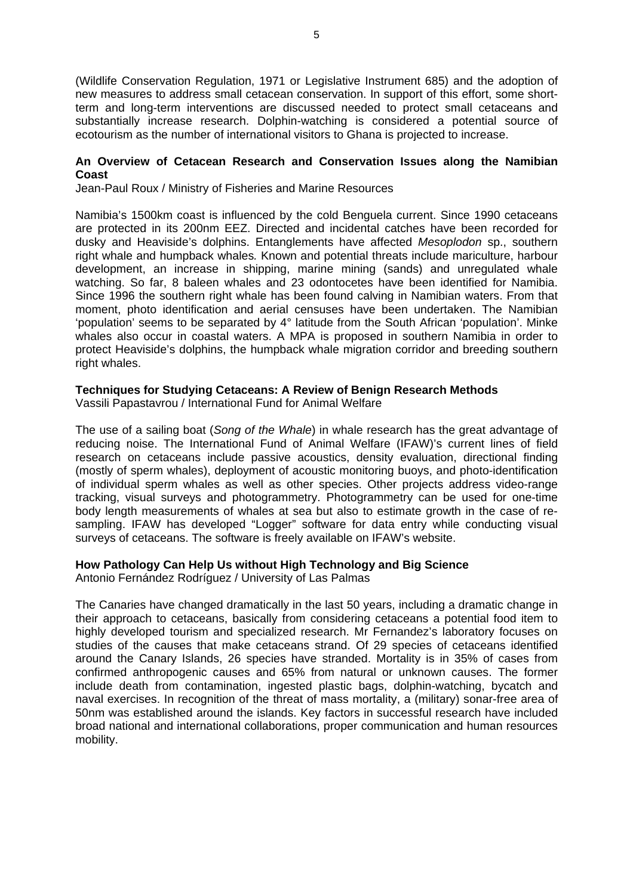(Wildlife Conservation Regulation, 1971 or Legislative Instrument 685) and the adoption of new measures to address small cetacean conservation. In support of this effort, some shortterm and long-term interventions are discussed needed to protect small cetaceans and substantially increase research. Dolphin-watching is considered a potential source of ecotourism as the number of international visitors to Ghana is projected to increase.

#### **An Overview of Cetacean Research and Conservation Issues along the Namibian Coast**

Jean-Paul Roux / Ministry of Fisheries and Marine Resources

Namibia's 1500km coast is influenced by the cold Benguela current. Since 1990 cetaceans are protected in its 200nm EEZ. Directed and incidental catches have been recorded for dusky and Heaviside's dolphins. Entanglements have affected *Mesoplodon* sp., southern right whale and humpback whales*.* Known and potential threats include mariculture, harbour development, an increase in shipping, marine mining (sands) and unregulated whale watching. So far, 8 baleen whales and 23 odontocetes have been identified for Namibia. Since 1996 the southern right whale has been found calving in Namibian waters. From that moment, photo identification and aerial censuses have been undertaken. The Namibian 'population' seems to be separated by 4° latitude from the South African 'population'. Minke whales also occur in coastal waters. A MPA is proposed in southern Namibia in order to protect Heaviside's dolphins, the humpback whale migration corridor and breeding southern right whales.

#### **Techniques for Studying Cetaceans: A Review of Benign Research Methods**

Vassili Papastavrou / International Fund for Animal Welfare

The use of a sailing boat (*Song of the Whale*) in whale research has the great advantage of reducing noise. The International Fund of Animal Welfare (IFAW)'s current lines of field research on cetaceans include passive acoustics, density evaluation, directional finding (mostly of sperm whales), deployment of acoustic monitoring buoys, and photo-identification of individual sperm whales as well as other species. Other projects address video-range tracking, visual surveys and photogrammetry. Photogrammetry can be used for one-time body length measurements of whales at sea but also to estimate growth in the case of resampling. IFAW has developed "Logger" software for data entry while conducting visual surveys of cetaceans. The software is freely available on IFAW's website.

# **How Pathology Can Help Us without High Technology and Big Science**

Antonio Fernández Rodríguez / University of Las Palmas

The Canaries have changed dramatically in the last 50 years, including a dramatic change in their approach to cetaceans, basically from considering cetaceans a potential food item to highly developed tourism and specialized research. Mr Fernandez's laboratory focuses on studies of the causes that make cetaceans strand. Of 29 species of cetaceans identified around the Canary Islands, 26 species have stranded. Mortality is in 35% of cases from confirmed anthropogenic causes and 65% from natural or unknown causes. The former include death from contamination, ingested plastic bags, dolphin-watching, bycatch and naval exercises. In recognition of the threat of mass mortality, a (military) sonar-free area of 50nm was established around the islands. Key factors in successful research have included broad national and international collaborations, proper communication and human resources mobility.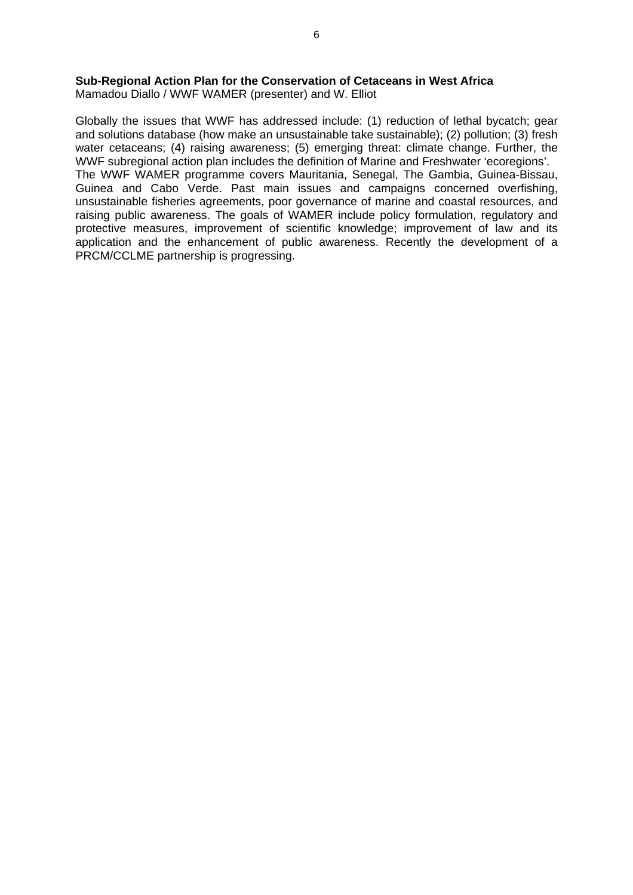#### **Sub-Regional Action Plan for the Conservation of Cetaceans in West Africa**

Mamadou Diallo / WWF WAMER (presenter) and W. Elliot

Globally the issues that WWF has addressed include: (1) reduction of lethal bycatch; gear and solutions database (how make an unsustainable take sustainable); (2) pollution; (3) fresh water cetaceans; (4) raising awareness; (5) emerging threat: climate change. Further, the WWF subregional action plan includes the definition of Marine and Freshwater 'ecoregions'. The WWF WAMER programme covers Mauritania, Senegal, The Gambia, Guinea-Bissau, Guinea and Cabo Verde. Past main issues and campaigns concerned overfishing, unsustainable fisheries agreements, poor governance of marine and coastal resources, and raising public awareness. The goals of WAMER include policy formulation, regulatory and protective measures, improvement of scientific knowledge; improvement of law and its application and the enhancement of public awareness. Recently the development of a PRCM/CCLME partnership is progressing.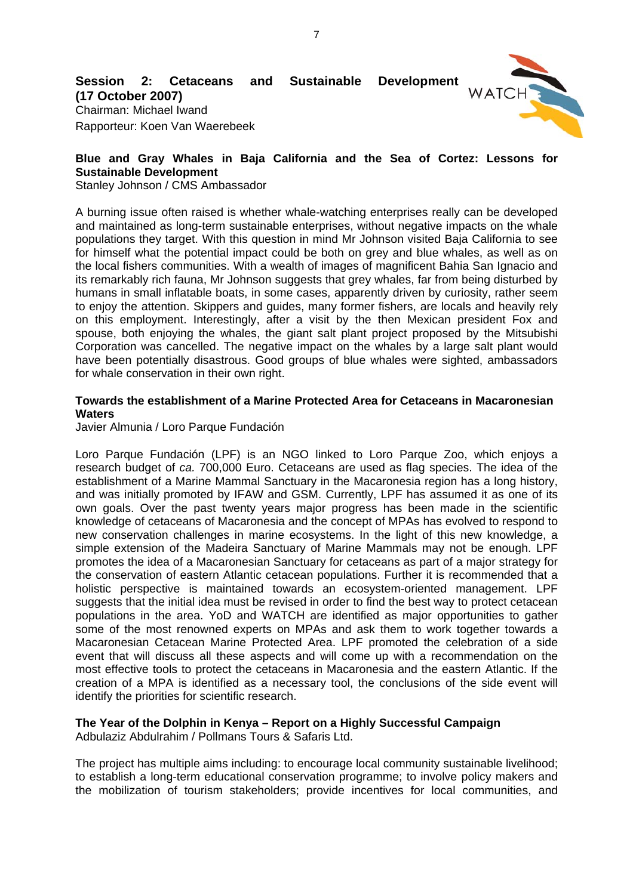

# **(17 October 2007)**

Chairman: Michael Iwand Rapporteur: Koen Van Waerebeek

### **Blue and Gray Whales in Baja California and the Sea of Cortez: Lessons for Sustainable Development**

Stanley Johnson / CMS Ambassador

A burning issue often raised is whether whale-watching enterprises really can be developed and maintained as long-term sustainable enterprises, without negative impacts on the whale populations they target. With this question in mind Mr Johnson visited Baja California to see for himself what the potential impact could be both on grey and blue whales, as well as on the local fishers communities. With a wealth of images of magnificent Bahia San Ignacio and its remarkably rich fauna, Mr Johnson suggests that grey whales, far from being disturbed by humans in small inflatable boats, in some cases, apparently driven by curiosity, rather seem to enjoy the attention. Skippers and guides, many former fishers, are locals and heavily rely on this employment. Interestingly, after a visit by the then Mexican president Fox and spouse, both enjoying the whales, the giant salt plant project proposed by the Mitsubishi Corporation was cancelled. The negative impact on the whales by a large salt plant would have been potentially disastrous. Good groups of blue whales were sighted, ambassadors for whale conservation in their own right.

#### **Towards the establishment of a Marine Protected Area for Cetaceans in Macaronesian Waters**

Javier Almunia / Loro Parque Fundación

Loro Parque Fundación (LPF) is an NGO linked to Loro Parque Zoo, which enjoys a research budget of *ca.* 700,000 Euro. Cetaceans are used as flag species. The idea of the establishment of a Marine Mammal Sanctuary in the Macaronesia region has a long history, and was initially promoted by IFAW and GSM. Currently, LPF has assumed it as one of its own goals. Over the past twenty years major progress has been made in the scientific knowledge of cetaceans of Macaronesia and the concept of MPAs has evolved to respond to new conservation challenges in marine ecosystems. In the light of this new knowledge, a simple extension of the Madeira Sanctuary of Marine Mammals may not be enough. LPF promotes the idea of a Macaronesian Sanctuary for cetaceans as part of a major strategy for the conservation of eastern Atlantic cetacean populations. Further it is recommended that a holistic perspective is maintained towards an ecosystem-oriented management. LPF suggests that the initial idea must be revised in order to find the best way to protect cetacean populations in the area. YoD and WATCH are identified as major opportunities to gather some of the most renowned experts on MPAs and ask them to work together towards a Macaronesian Cetacean Marine Protected Area. LPF promoted the celebration of a side event that will discuss all these aspects and will come up with a recommendation on the most effective tools to protect the cetaceans in Macaronesia and the eastern Atlantic. If the creation of a MPA is identified as a necessary tool, the conclusions of the side event will identify the priorities for scientific research.

# **The Year of the Dolphin in Kenya – Report on a Highly Successful Campaign**

Adbulaziz Abdulrahim / Pollmans Tours & Safaris Ltd.

The project has multiple aims including: to encourage local community sustainable livelihood; to establish a long-term educational conservation programme; to involve policy makers and the mobilization of tourism stakeholders; provide incentives for local communities, and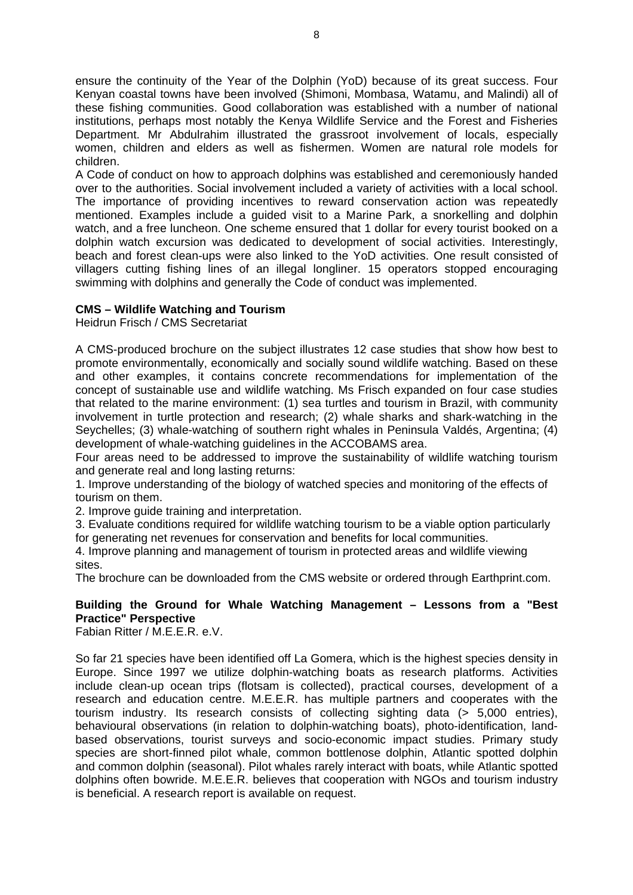ensure the continuity of the Year of the Dolphin (YoD) because of its great success. Four Kenyan coastal towns have been involved (Shimoni, Mombasa, Watamu, and Malindi) all of these fishing communities. Good collaboration was established with a number of national institutions, perhaps most notably the Kenya Wildlife Service and the Forest and Fisheries Department. Mr Abdulrahim illustrated the grassroot involvement of locals, especially women, children and elders as well as fishermen. Women are natural role models for children.

A Code of conduct on how to approach dolphins was established and ceremoniously handed over to the authorities. Social involvement included a variety of activities with a local school. The importance of providing incentives to reward conservation action was repeatedly mentioned. Examples include a guided visit to a Marine Park, a snorkelling and dolphin watch, and a free luncheon. One scheme ensured that 1 dollar for every tourist booked on a dolphin watch excursion was dedicated to development of social activities. Interestingly, beach and forest clean-ups were also linked to the YoD activities. One result consisted of villagers cutting fishing lines of an illegal longliner. 15 operators stopped encouraging swimming with dolphins and generally the Code of conduct was implemented.

# **CMS – Wildlife Watching and Tourism**

Heidrun Frisch / CMS Secretariat

A CMS-produced brochure on the subject illustrates 12 case studies that show how best to promote environmentally, economically and socially sound wildlife watching. Based on these and other examples, it contains concrete recommendations for implementation of the concept of sustainable use and wildlife watching. Ms Frisch expanded on four case studies that related to the marine environment: (1) sea turtles and tourism in Brazil, with community involvement in turtle protection and research; (2) whale sharks and shark-watching in the Seychelles; (3) whale-watching of southern right whales in Peninsula Valdés, Argentina; (4) development of whale-watching guidelines in the ACCOBAMS area.

Four areas need to be addressed to improve the sustainability of wildlife watching tourism and generate real and long lasting returns:

1. Improve understanding of the biology of watched species and monitoring of the effects of tourism on them.

2. Improve guide training and interpretation.

3. Evaluate conditions required for wildlife watching tourism to be a viable option particularly for generating net revenues for conservation and benefits for local communities.

4. Improve planning and management of tourism in protected areas and wildlife viewing sites.

The brochure can be downloaded from the CMS website or ordered through Earthprint.com.

# **Building the Ground for Whale Watching Management – Lessons from a "Best Practice" Perspective**

Fabian Ritter / M.E.E.R. e.V.

So far 21 species have been identified off La Gomera, which is the highest species density in Europe. Since 1997 we utilize dolphin-watching boats as research platforms. Activities include clean-up ocean trips (flotsam is collected), practical courses, development of a research and education centre. M.E.E.R. has multiple partners and cooperates with the tourism industry. Its research consists of collecting sighting data (> 5,000 entries), behavioural observations (in relation to dolphin-watching boats), photo-identification, landbased observations, tourist surveys and socio-economic impact studies. Primary study species are short-finned pilot whale, common bottlenose dolphin, Atlantic spotted dolphin and common dolphin (seasonal). Pilot whales rarely interact with boats, while Atlantic spotted dolphins often bowride. M.E.E.R. believes that cooperation with NGOs and tourism industry is beneficial. A research report is available on request.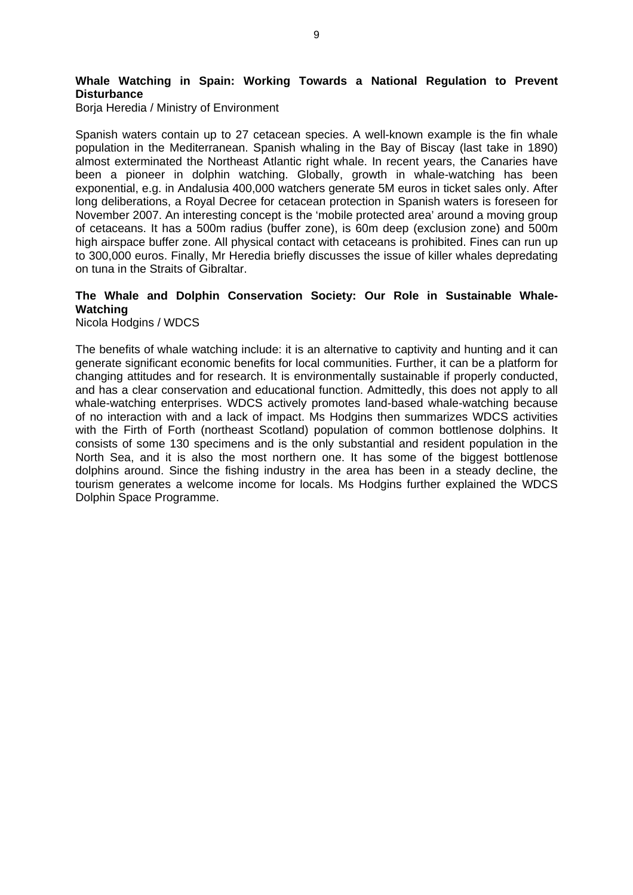# **Whale Watching in Spain: Working Towards a National Regulation to Prevent Disturbance**

Borja Heredia / Ministry of Environment

Spanish waters contain up to 27 cetacean species. A well-known example is the fin whale population in the Mediterranean. Spanish whaling in the Bay of Biscay (last take in 1890) almost exterminated the Northeast Atlantic right whale. In recent years, the Canaries have been a pioneer in dolphin watching. Globally, growth in whale-watching has been exponential, e.g. in Andalusia 400,000 watchers generate 5M euros in ticket sales only. After long deliberations, a Royal Decree for cetacean protection in Spanish waters is foreseen for November 2007. An interesting concept is the 'mobile protected area' around a moving group of cetaceans. It has a 500m radius (buffer zone), is 60m deep (exclusion zone) and 500m high airspace buffer zone. All physical contact with cetaceans is prohibited. Fines can run up to 300,000 euros. Finally, Mr Heredia briefly discusses the issue of killer whales depredating on tuna in the Straits of Gibraltar.

#### **The Whale and Dolphin Conservation Society: Our Role in Sustainable Whale-Watching**

Nicola Hodgins / WDCS

The benefits of whale watching include: it is an alternative to captivity and hunting and it can generate significant economic benefits for local communities. Further, it can be a platform for changing attitudes and for research. It is environmentally sustainable if properly conducted, and has a clear conservation and educational function. Admittedly, this does not apply to all whale-watching enterprises. WDCS actively promotes land-based whale-watching because of no interaction with and a lack of impact. Ms Hodgins then summarizes WDCS activities with the Firth of Forth (northeast Scotland) population of common bottlenose dolphins. It consists of some 130 specimens and is the only substantial and resident population in the North Sea, and it is also the most northern one. It has some of the biggest bottlenose dolphins around. Since the fishing industry in the area has been in a steady decline, the tourism generates a welcome income for locals. Ms Hodgins further explained the WDCS Dolphin Space Programme.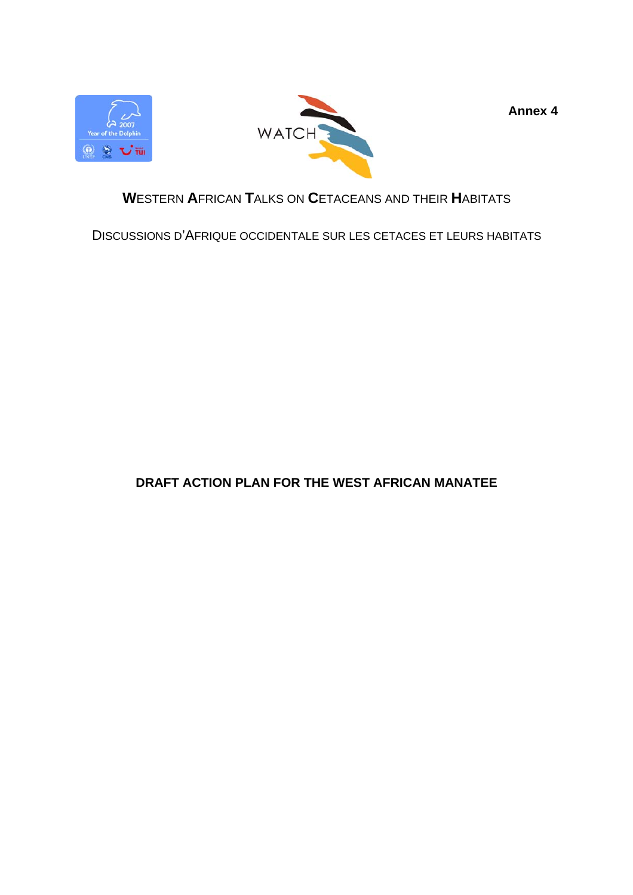



**Annex 4** 

# **W**ESTERN **A**FRICAN **T**ALKS ON **C**ETACEANS AND THEIR **H**ABITATS

DISCUSSIONS D'AFRIQUE OCCIDENTALE SUR LES CETACES ET LEURS HABITATS

# **DRAFT ACTION PLAN FOR THE WEST AFRICAN MANATEE**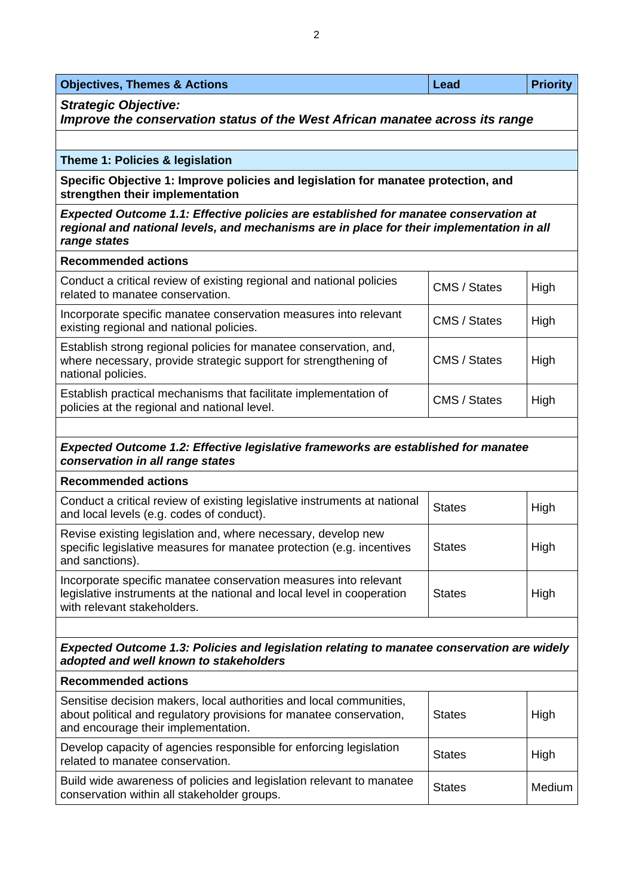| <b>Objectives, Themes &amp; Actions</b> | Lead | <b>Priority</b> |
|-----------------------------------------|------|-----------------|
|                                         |      |                 |

*Strategic Objective:* 

*Improve the conservation status of the West African manatee across its range* 

#### **Theme 1: Policies & legislation**

**Specific Objective 1: Improve policies and legislation for manatee protection, and strengthen their implementation** 

*Expected Outcome 1.1: Effective policies are established for manatee conservation at regional and national levels, and mechanisms are in place for their implementation in all range states* 

#### **Recommended actions**

| Conduct a critical review of existing regional and national policies<br>related to manatee conservation.                                                   | CMS / States | High |
|------------------------------------------------------------------------------------------------------------------------------------------------------------|--------------|------|
| Incorporate specific manatee conservation measures into relevant<br>existing regional and national policies.                                               | CMS / States | High |
| Establish strong regional policies for manatee conservation, and,<br>where necessary, provide strategic support for strengthening of<br>national policies. | CMS / States | High |
| Establish practical mechanisms that facilitate implementation of<br>policies at the regional and national level.                                           | CMS / States | High |

#### *Expected Outcome 1.2: Effective legislative frameworks are established for manatee conservation in all range states*

#### **Recommended actions**

| Conduct a critical review of existing legislative instruments at national<br>and local levels (e.g. codes of conduct).                                                    | <b>States</b> | High |
|---------------------------------------------------------------------------------------------------------------------------------------------------------------------------|---------------|------|
| Revise existing legislation and, where necessary, develop new<br>specific legislative measures for manatee protection (e.g. incentives<br>and sanctions).                 | <b>States</b> | High |
| Incorporate specific manatee conservation measures into relevant<br>legislative instruments at the national and local level in cooperation<br>with relevant stakeholders. | <b>States</b> | High |

*Expected Outcome 1.3: Policies and legislation relating to manatee conservation are widely adopted and well known to stakeholders* 

# **Recommended actions**  Sensitise decision makers, local authorities and local communities, about political and regulatory provisions for manatee conservation, and encourage their implementation. States | High Develop capacity of agencies responsible for enforcing legislation Develop capacity of agencies responsible for emotiong registation<br>related to manatee conservation. Build wide awareness of policies and legislation relevant to manatee build wide awarehess of policies and legislation relevant to mariatee States Medium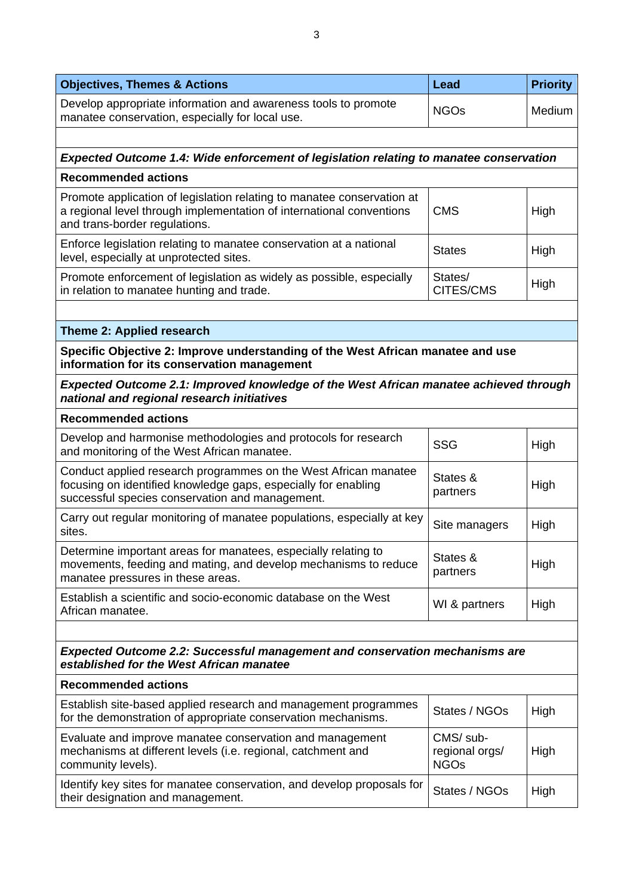| <b>Objectives, Themes &amp; Actions</b>                                                                                                                                              | Lead                                       | <b>Priority</b> |
|--------------------------------------------------------------------------------------------------------------------------------------------------------------------------------------|--------------------------------------------|-----------------|
| Develop appropriate information and awareness tools to promote<br>manatee conservation, especially for local use.                                                                    | <b>NGOs</b>                                | Medium          |
|                                                                                                                                                                                      |                                            |                 |
| <b>Expected Outcome 1.4: Wide enforcement of legislation relating to manatee conservation</b>                                                                                        |                                            |                 |
| <b>Recommended actions</b>                                                                                                                                                           |                                            |                 |
| Promote application of legislation relating to manatee conservation at<br>a regional level through implementation of international conventions<br>and trans-border regulations.      | <b>CMS</b>                                 | High            |
| Enforce legislation relating to manatee conservation at a national<br>level, especially at unprotected sites.                                                                        | <b>States</b>                              | High            |
| Promote enforcement of legislation as widely as possible, especially<br>in relation to manatee hunting and trade.                                                                    | States/<br>CITES/CMS                       | High            |
|                                                                                                                                                                                      |                                            |                 |
| Theme 2: Applied research                                                                                                                                                            |                                            |                 |
| Specific Objective 2: Improve understanding of the West African manatee and use<br>information for its conservation management                                                       |                                            |                 |
| <b>Expected Outcome 2.1: Improved knowledge of the West African manatee achieved through</b><br>national and regional research initiatives                                           |                                            |                 |
| <b>Recommended actions</b>                                                                                                                                                           |                                            |                 |
| Develop and harmonise methodologies and protocols for research<br>and monitoring of the West African manatee.                                                                        | <b>SSG</b>                                 | High            |
| Conduct applied research programmes on the West African manatee<br>focusing on identified knowledge gaps, especially for enabling<br>successful species conservation and management. | States &<br>partners                       | High            |
| Carry out regular monitoring of manatee populations, especially at key<br>sites.                                                                                                     | Site managers                              | High            |
| Determine important areas for manatees, especially relating to<br>movements, feeding and mating, and develop mechanisms to reduce<br>manatee pressures in these areas.               | States &<br>partners                       | High            |
| Establish a scientific and socio-economic database on the West<br>African manatee.                                                                                                   | WI & partners                              | High            |
| <b>Expected Outcome 2.2: Successful management and conservation mechanisms are</b>                                                                                                   |                                            |                 |
| established for the West African manatee                                                                                                                                             |                                            |                 |
| <b>Recommended actions</b>                                                                                                                                                           |                                            |                 |
| Establish site-based applied research and management programmes<br>for the demonstration of appropriate conservation mechanisms.                                                     | States / NGOs                              | High            |
| Evaluate and improve manatee conservation and management<br>mechanisms at different levels (i.e. regional, catchment and<br>community levels).                                       | CMS/ sub-<br>regional orgs/<br><b>NGOs</b> | High            |
| Identify key sites for manatee conservation, and develop proposals for<br>their designation and management.                                                                          | States / NGOs                              | High            |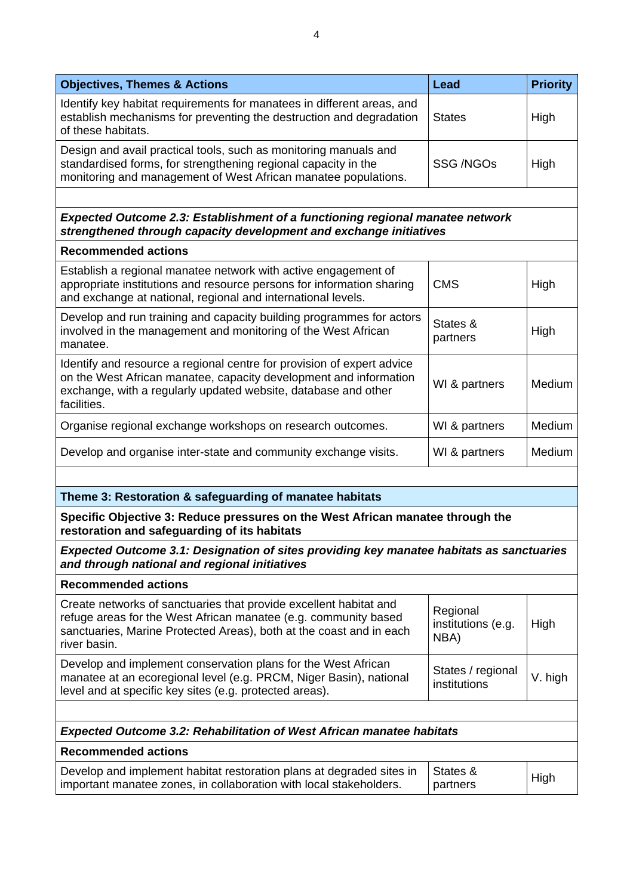| <b>Objectives, Themes &amp; Actions</b>                                                                                                                                                                                      | <b>Lead</b>                            | <b>Priority</b> |
|------------------------------------------------------------------------------------------------------------------------------------------------------------------------------------------------------------------------------|----------------------------------------|-----------------|
| Identify key habitat requirements for manatees in different areas, and<br>establish mechanisms for preventing the destruction and degradation<br>of these habitats.                                                          | <b>States</b>                          | High            |
| Design and avail practical tools, such as monitoring manuals and<br>standardised forms, for strengthening regional capacity in the<br>monitoring and management of West African manatee populations.                         | <b>SSG /NGOs</b>                       | High            |
|                                                                                                                                                                                                                              |                                        |                 |
| <b>Expected Outcome 2.3: Establishment of a functioning regional manatee network</b><br>strengthened through capacity development and exchange initiatives                                                                   |                                        |                 |
| <b>Recommended actions</b>                                                                                                                                                                                                   |                                        |                 |
| Establish a regional manatee network with active engagement of<br>appropriate institutions and resource persons for information sharing<br>and exchange at national, regional and international levels.                      | <b>CMS</b>                             | High            |
| Develop and run training and capacity building programmes for actors<br>involved in the management and monitoring of the West African<br>manatee.                                                                            | States &<br>partners                   | High            |
| Identify and resource a regional centre for provision of expert advice<br>on the West African manatee, capacity development and information<br>exchange, with a regularly updated website, database and other<br>facilities. | WI & partners                          | Medium          |
| Organise regional exchange workshops on research outcomes.                                                                                                                                                                   | WI & partners                          | Medium          |
| Develop and organise inter-state and community exchange visits.                                                                                                                                                              | WI & partners                          | Medium          |
|                                                                                                                                                                                                                              |                                        |                 |
| Theme 3: Restoration & safeguarding of manatee habitats                                                                                                                                                                      |                                        |                 |
| Specific Objective 3: Reduce pressures on the West African manatee through the<br>restoration and safeguarding of its habitats                                                                                               |                                        |                 |
| Expected Outcome 3.1: Designation of sites providing key manatee habitats as sanctuaries<br>and through national and regional initiatives                                                                                    |                                        |                 |
| <b>Recommended actions</b>                                                                                                                                                                                                   |                                        |                 |
| Create networks of sanctuaries that provide excellent habitat and<br>refuge areas for the West African manatee (e.g. community based<br>sanctuaries, Marine Protected Areas), both at the coast and in each<br>river basin.  | Regional<br>institutions (e.g.<br>NBA) | High            |
| Develop and implement conservation plans for the West African<br>manatee at an ecoregional level (e.g. PRCM, Niger Basin), national<br>level and at specific key sites (e.g. protected areas).                               | States / regional<br>institutions      | V. high         |
|                                                                                                                                                                                                                              |                                        |                 |
| <b>Expected Outcome 3.2: Rehabilitation of West African manatee habitats</b>                                                                                                                                                 |                                        |                 |
| <b>Recommended actions</b><br>Develop and implement habitat restoration plans at degraded sites in                                                                                                                           | States &                               |                 |
| important manatee zones, in collaboration with local stakeholders.                                                                                                                                                           | partners                               | High            |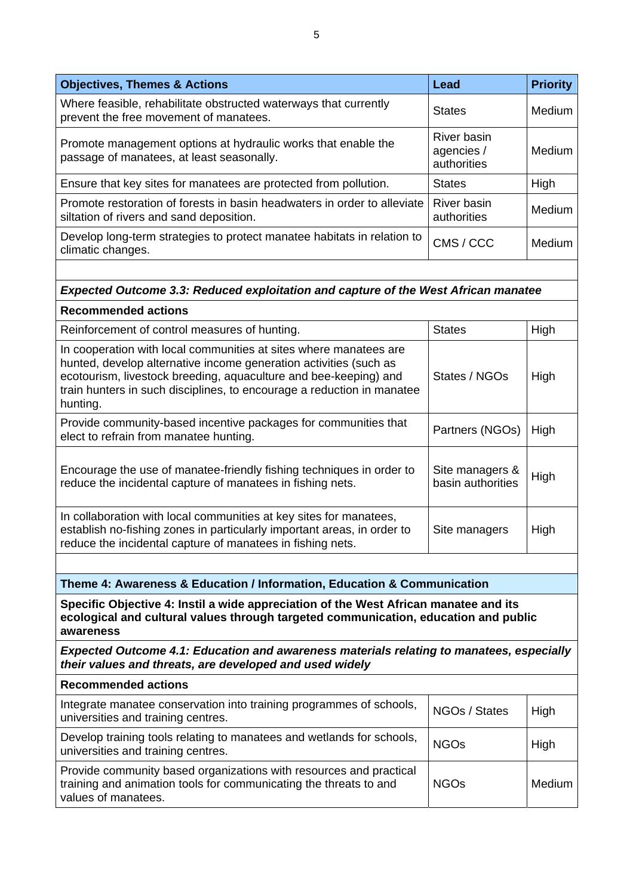| <b>Objectives, Themes &amp; Actions</b>                                                                              | Lead                                     | <b>Priority</b> |
|----------------------------------------------------------------------------------------------------------------------|------------------------------------------|-----------------|
| Where feasible, rehabilitate obstructed waterways that currently<br>prevent the free movement of manatees.           | <b>States</b>                            | Medium          |
| Promote management options at hydraulic works that enable the<br>passage of manatees, at least seasonally.           | River basin<br>agencies /<br>authorities | Medium          |
| Ensure that key sites for manatees are protected from pollution.                                                     | <b>States</b>                            | High            |
| Promote restoration of forests in basin headwaters in order to alleviate<br>siltation of rivers and sand deposition. | River basin<br>authorities               | Medium          |
| Develop long-term strategies to protect manatee habitats in relation to<br>climatic changes.                         | CMS / CCC                                | Medium          |
| <b>Expected Outcome 3.3: Reduced exploitation and capture of the West African manatee</b>                            |                                          |                 |
| <b>Recommended actions</b>                                                                                           |                                          |                 |

| Reinforcement of control measures of hunting.                                                                                                                                                                                                                                                    | <b>States</b>                        | High |
|--------------------------------------------------------------------------------------------------------------------------------------------------------------------------------------------------------------------------------------------------------------------------------------------------|--------------------------------------|------|
| In cooperation with local communities at sites where manatees are<br>hunted, develop alternative income generation activities (such as<br>ecotourism, livestock breeding, aquaculture and bee-keeping) and<br>train hunters in such disciplines, to encourage a reduction in manatee<br>hunting. | States / NGOs                        | High |
| Provide community-based incentive packages for communities that<br>elect to refrain from manatee hunting.                                                                                                                                                                                        | Partners (NGOs)                      | High |
| Encourage the use of manatee-friendly fishing techniques in order to<br>reduce the incidental capture of manatees in fishing nets.                                                                                                                                                               | Site managers &<br>basin authorities | High |
| In collaboration with local communities at key sites for manatees,<br>establish no-fishing zones in particularly important areas, in order to<br>reduce the incidental capture of manatees in fishing nets.                                                                                      | Site managers                        | High |
|                                                                                                                                                                                                                                                                                                  |                                      |      |

**Theme 4: Awareness & Education / Information, Education & Communication** 

**Specific Objective 4: Instil a wide appreciation of the West African manatee and its ecological and cultural values through targeted communication, education and public awareness** 

*Expected Outcome 4.1: Education and awareness materials relating to manatees, especially their values and threats, are developed and used widely* 

| <b>Recommended actions</b>                                                                                                                                     |               |          |
|----------------------------------------------------------------------------------------------------------------------------------------------------------------|---------------|----------|
| Integrate manatee conservation into training programmes of schools,<br>universities and training centres.                                                      | NGOs / States | High     |
| Develop training tools relating to manatees and wetlands for schools,<br>universities and training centres.                                                    | <b>NGOs</b>   | High     |
| Provide community based organizations with resources and practical<br>training and animation tools for communicating the threats to and<br>values of manatees. | <b>NGOs</b>   | Medium I |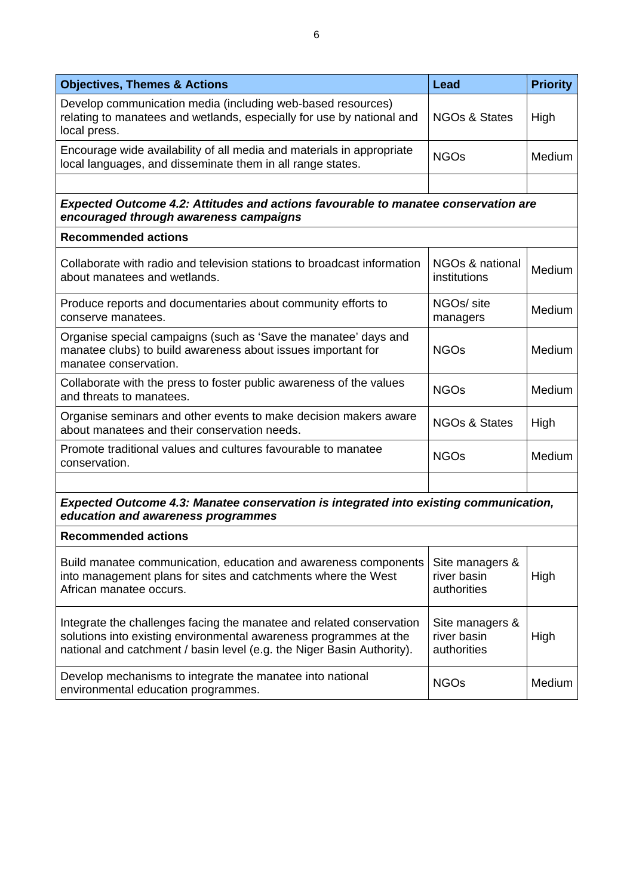| <b>Objectives, Themes &amp; Actions</b>                                                                                                                                                                             | Lead                                          | <b>Priority</b> |
|---------------------------------------------------------------------------------------------------------------------------------------------------------------------------------------------------------------------|-----------------------------------------------|-----------------|
| Develop communication media (including web-based resources)<br>relating to manatees and wetlands, especially for use by national and<br>local press.                                                                | <b>NGOs &amp; States</b>                      | High            |
| Encourage wide availability of all media and materials in appropriate<br>local languages, and disseminate them in all range states.                                                                                 | <b>NGOs</b>                                   | Medium          |
|                                                                                                                                                                                                                     |                                               |                 |
| Expected Outcome 4.2: Attitudes and actions favourable to manatee conservation are<br>encouraged through awareness campaigns                                                                                        |                                               |                 |
| <b>Recommended actions</b>                                                                                                                                                                                          |                                               |                 |
| Collaborate with radio and television stations to broadcast information<br>about manatees and wetlands.                                                                                                             | NGOs & national<br>institutions               | Medium          |
| Produce reports and documentaries about community efforts to<br>conserve manatees.                                                                                                                                  | NGO <sub>s</sub> /site<br>managers            | Medium          |
| Organise special campaigns (such as 'Save the manatee' days and<br>manatee clubs) to build awareness about issues important for<br>manatee conservation.                                                            | <b>NGOs</b>                                   | Medium          |
| Collaborate with the press to foster public awareness of the values<br>and threats to manatees.                                                                                                                     | <b>NGOs</b>                                   | Medium          |
| Organise seminars and other events to make decision makers aware<br>about manatees and their conservation needs.                                                                                                    | <b>NGOs &amp; States</b>                      | High            |
| Promote traditional values and cultures favourable to manatee<br>conservation.                                                                                                                                      | <b>NGOs</b>                                   | Medium          |
|                                                                                                                                                                                                                     |                                               |                 |
| Expected Outcome 4.3: Manatee conservation is integrated into existing communication,<br>education and awareness programmes                                                                                         |                                               |                 |
| <b>Recommended actions</b>                                                                                                                                                                                          |                                               |                 |
| Build manatee communication, education and awareness components<br>into management plans for sites and catchments where the West<br>African manatee occurs.                                                         | Site managers &<br>river basin<br>authorities | High            |
| Integrate the challenges facing the manatee and related conservation<br>solutions into existing environmental awareness programmes at the<br>national and catchment / basin level (e.g. the Niger Basin Authority). | Site managers &<br>river basin<br>authorities | High            |
| Develop mechanisms to integrate the manatee into national<br>environmental education programmes.                                                                                                                    | <b>NGOs</b>                                   | Medium          |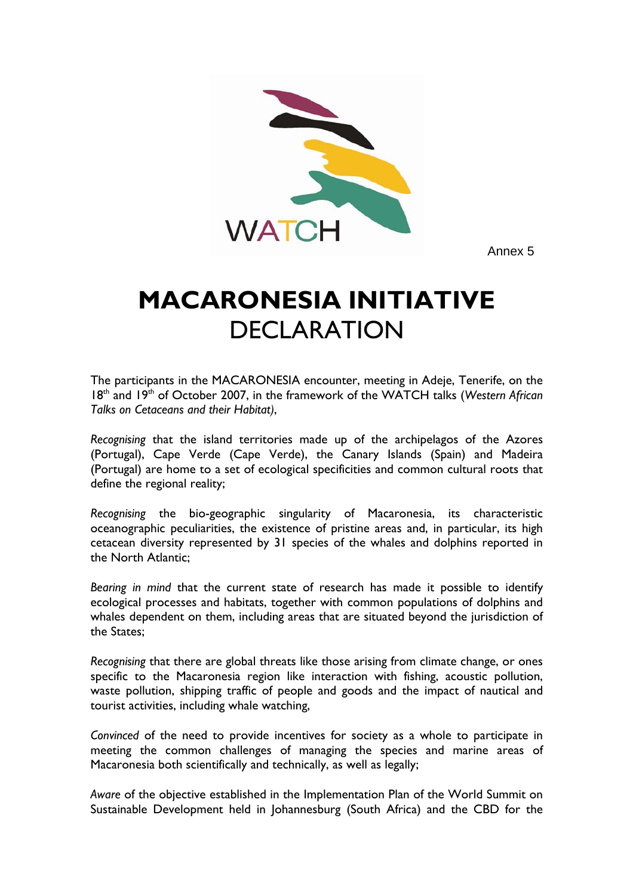

Annex 5

# **MACARONESIA INITIATIVE**  DECLARATION

The participants in the MACARONESIA encounter, meeting in Adeje, Tenerife, on the 18<sup>th</sup> and 19<sup>th</sup> of October 2007, in the framework of the WATCH talks (Western African *Talks on Cetaceans and their Habitat)*,

*Recognising* that the island territories made up of the archipelagos of the Azores (Portugal), Cape Verde (Cape Verde), the Canary Islands (Spain) and Madeira (Portugal) are home to a set of ecological specificities and common cultural roots that define the regional reality;

*Recognising* the bio-geographic singularity of Macaronesia, its characteristic oceanographic peculiarities, the existence of pristine areas and, in particular, its high cetacean diversity represented by 31 species of the whales and dolphins reported in the North Atlantic;

*Bearing in mind* that the current state of research has made it possible to identify ecological processes and habitats, together with common populations of dolphins and whales dependent on them, including areas that are situated beyond the jurisdiction of the States;

*Recognising* that there are global threats like those arising from climate change, or ones specific to the Macaronesia region like interaction with fishing, acoustic pollution, waste pollution, shipping traffic of people and goods and the impact of nautical and tourist activities, including whale watching,

*Convinced* of the need to provide incentives for society as a whole to participate in meeting the common challenges of managing the species and marine areas of Macaronesia both scientifically and technically, as well as legally;

*Aware* of the objective established in the Implementation Plan of the World Summit on Sustainable Development held in Johannesburg (South Africa) and the CBD for the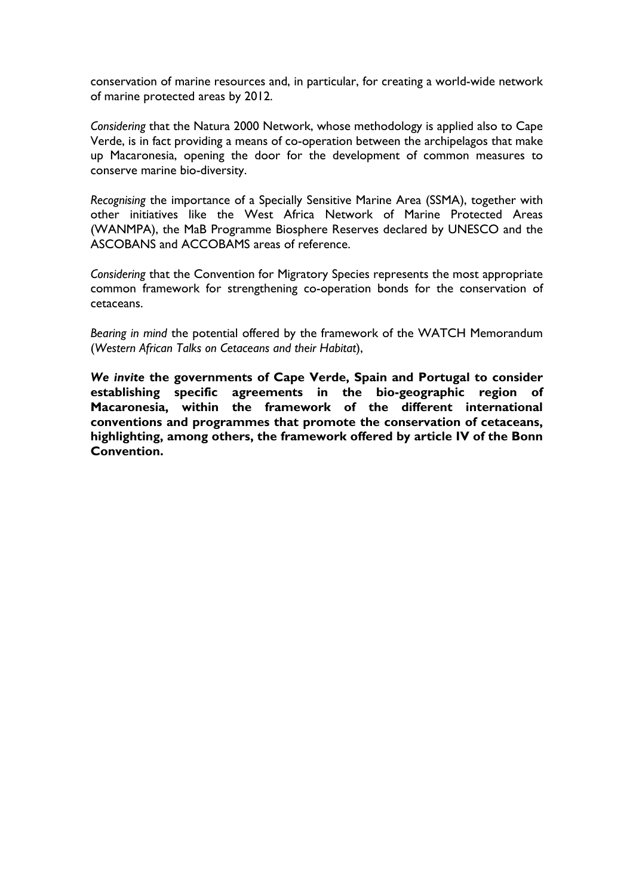conservation of marine resources and, in particular, for creating a world-wide network of marine protected areas by 2012.

*Considering* that the Natura 2000 Network, whose methodology is applied also to Cape Verde, is in fact providing a means of co-operation between the archipelagos that make up Macaronesia, opening the door for the development of common measures to conserve marine bio-diversity.

*Recognising* the importance of a Specially Sensitive Marine Area (SSMA), together with other initiatives like the West Africa Network of Marine Protected Areas (WANMPA), the MaB Programme Biosphere Reserves declared by UNESCO and the ASCOBANS and ACCOBAMS areas of reference.

*Considering* that the Convention for Migratory Species represents the most appropriate common framework for strengthening co-operation bonds for the conservation of cetaceans.

*Bearing in mind* the potential offered by the framework of the WATCH Memorandum (*Western African Talks on Cetaceans and their Habitat*),

*We invite* **the governments of Cape Verde, Spain and Portugal to consider establishing specific agreements in the bio-geographic region of Macaronesia, within the framework of the different international conventions and programmes that promote the conservation of cetaceans, highlighting, among others, the framework offered by article IV of the Bonn Convention.**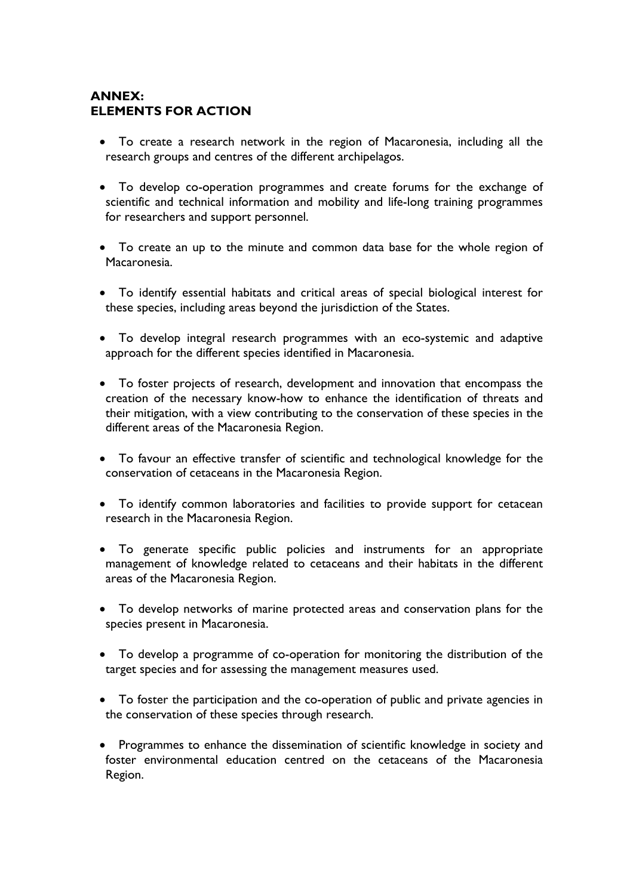# **ANNEX: ELEMENTS FOR ACTION**

- To create a research network in the region of Macaronesia, including all the research groups and centres of the different archipelagos.
- To develop co-operation programmes and create forums for the exchange of scientific and technical information and mobility and life-long training programmes for researchers and support personnel.
- To create an up to the minute and common data base for the whole region of Macaronesia.
- To identify essential habitats and critical areas of special biological interest for these species, including areas beyond the jurisdiction of the States.
- To develop integral research programmes with an eco-systemic and adaptive approach for the different species identified in Macaronesia.
- To foster projects of research, development and innovation that encompass the creation of the necessary know-how to enhance the identification of threats and their mitigation, with a view contributing to the conservation of these species in the different areas of the Macaronesia Region.
- To favour an effective transfer of scientific and technological knowledge for the conservation of cetaceans in the Macaronesia Region.
- To identify common laboratories and facilities to provide support for cetacean research in the Macaronesia Region.
- To generate specific public policies and instruments for an appropriate management of knowledge related to cetaceans and their habitats in the different areas of the Macaronesia Region.
- To develop networks of marine protected areas and conservation plans for the species present in Macaronesia.
- To develop a programme of co-operation for monitoring the distribution of the target species and for assessing the management measures used.
- To foster the participation and the co-operation of public and private agencies in the conservation of these species through research.
- Programmes to enhance the dissemination of scientific knowledge in society and foster environmental education centred on the cetaceans of the Macaronesia Region.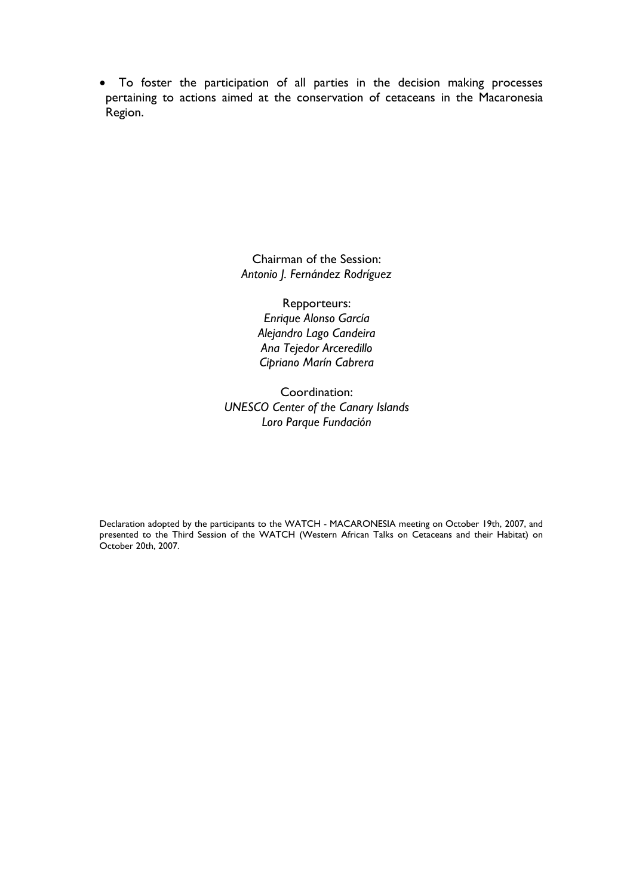• To foster the participation of all parties in the decision making processes pertaining to actions aimed at the conservation of cetaceans in the Macaronesia Region.

> Chairman of the Session: *Antonio J. Fernández Rodríguez*

> > Repporteurs: *Enrique Alonso García Alejandro Lago Candeira Ana Tejedor Arceredillo Cipriano Marín Cabrera*

Coordination: *UNESCO Center of the Canary Islands Loro Parque Fundación* 

Declaration adopted by the participants to the WATCH - MACARONESIA meeting on October 19th, 2007, and presented to the Third Session of the WATCH (Western African Talks on Cetaceans and their Habitat) on October 20th, 2007.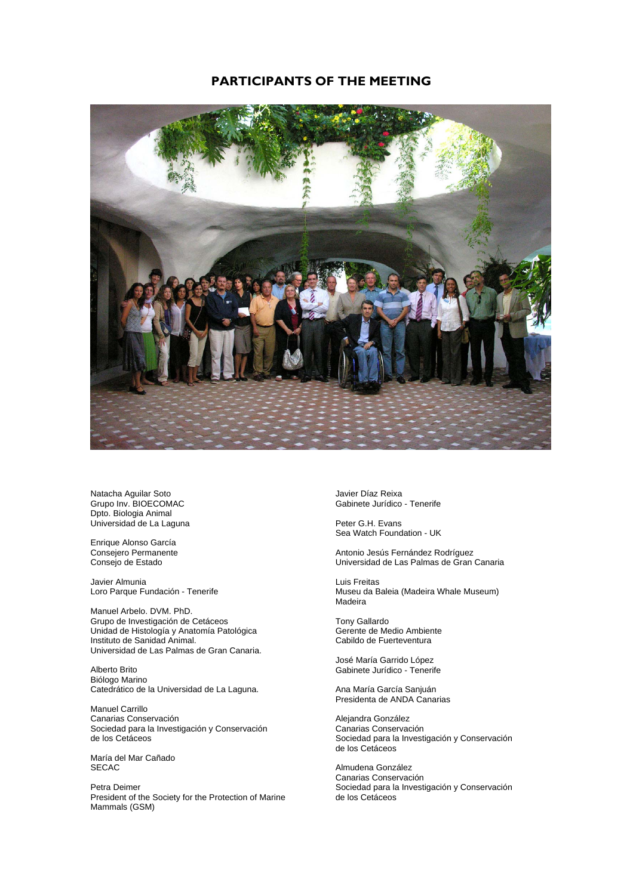# **PARTICIPANTS OF THE MEETING**



Natacha Aguilar Soto Grupo Inv. BIOECOMAC Dpto. Biologia Animal Universidad de La Laguna

Enrique Alonso García Consejero Permanente Consejo de Estado

Javier Almunia Loro Parque Fundación - Tenerife

Manuel Arbelo. DVM. PhD. Grupo de Investigación de Cetáceos Unidad de Histología y Anatomía Patológica Instituto de Sanidad Animal. Universidad de Las Palmas de Gran Canaria.

Alberto Brito Biólogo Marino Catedrático de la Universidad de La Laguna.

Manuel Carrillo Canarias Conservación Sociedad para la Investigación y Conservación de los Cetáceos

María del Mar Cañado SECAC

Petra Deimer President of the Society for the Protection of Marine Mammals (GSM)

Javier Díaz Reixa Gabinete Jurídico - Tenerife

Peter G.H. Evans Sea Watch Foundation - UK

Antonio Jesús Fernández Rodríguez Universidad de Las Palmas de Gran Canaria

Luis Freitas Museu da Baleia (Madeira Whale Museum) Madeira

Tony Gallardo Gerente de Medio Ambiente Cabildo de Fuerteventura

José María Garrido López Gabinete Jurídico - Tenerife

Ana María García Sanjuán Presidenta de ANDA Canarias

Alejandra González Canarias Conservación Sociedad para la Investigación y Conservación de los Cetáceos

Almudena González Canarias Conservación Sociedad para la Investigación y Conservación de los Cetáceos